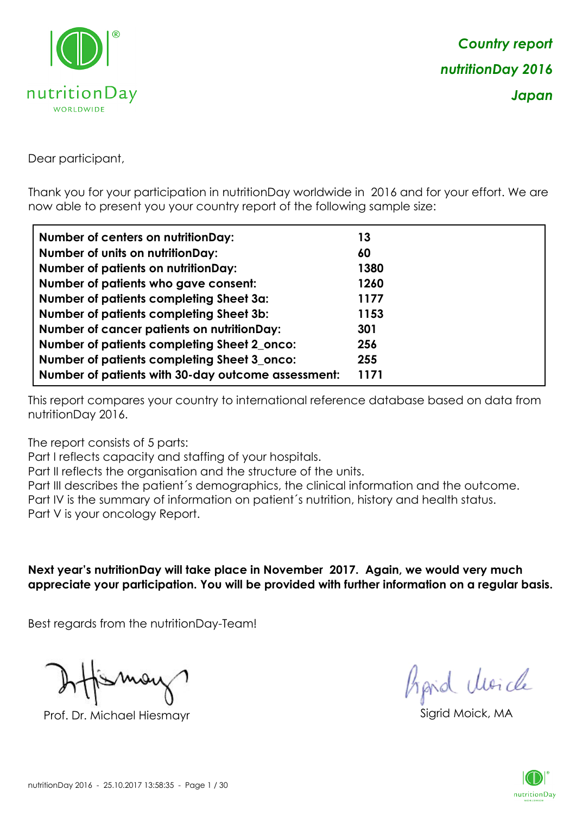

Dear participant,

Thank you for your participation in nutritionDay worldwide in 2016 and for your effort. We are now able to present you your country report of the following sample size:

| <b>Number of centers on nutritionDay:</b>          | 13   |
|----------------------------------------------------|------|
| Number of units on nutritionDay:                   | 60   |
| <b>Number of patients on nutritionDay:</b>         | 1380 |
| Number of patients who gave consent:               | 1260 |
| Number of patients completing Sheet 3a:            | 1177 |
| <b>Number of patients completing Sheet 3b:</b>     | 1153 |
| <b>Number of cancer patients on nutritionDay:</b>  | 301  |
| Number of patients completing Sheet 2_onco:        | 256  |
| Number of patients completing Sheet 3_onco:        | 255  |
| Number of patients with 30-day outcome assessment: | 1171 |

This report compares your country to international reference database based on data from nutritionDay 2016.

The report consists of 5 parts:

Part I reflects capacity and staffing of your hospitals.

Part II reflects the organisation and the structure of the units.

Part III describes the patient´s demographics, the clinical information and the outcome.

Part IV is the summary of information on patient´s nutrition, history and health status.

Part V is your oncology Report.

**Next year's nutritionDay will take place in November 2017. Again, we would very much appreciate your participation. You will be provided with further information on a regular basis.**

Best regards from the nutritionDay-Team!

Prof. Dr. Michael Hiesmayr Sigrid Moick, MA

*Prpid cluricle* 

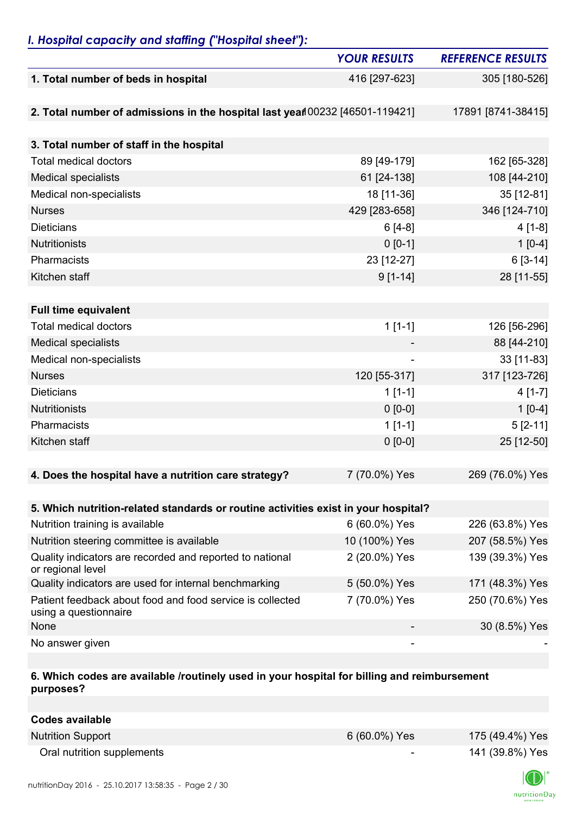## *I. Hospital capacity and staffing ("Hospital sheet"):*

|                                                                                    | <b>YOUR RESULTS</b> | <b>REFERENCE RESULTS</b> |
|------------------------------------------------------------------------------------|---------------------|--------------------------|
| 1. Total number of beds in hospital                                                | 416 [297-623]       | 305 [180-526]            |
|                                                                                    |                     |                          |
| 2. Total number of admissions in the hospital last yean 00232 [46501-119421]       |                     | 17891 [8741-38415]       |
|                                                                                    |                     |                          |
| 3. Total number of staff in the hospital                                           |                     |                          |
| <b>Total medical doctors</b>                                                       | 89 [49-179]         | 162 [65-328]             |
| <b>Medical specialists</b>                                                         | 61 [24-138]         | 108 [44-210]             |
| Medical non-specialists                                                            | 18 [11-36]          | 35 [12-81]               |
| <b>Nurses</b>                                                                      | 429 [283-658]       | 346 [124-710]            |
| <b>Dieticians</b>                                                                  | $6[4-8]$            | $4[1-8]$                 |
| <b>Nutritionists</b>                                                               | $0 [0-1]$           | $1[0-4]$                 |
| Pharmacists                                                                        | 23 [12-27]          | $6[3-14]$                |
| Kitchen staff                                                                      | $9[1-14]$           | 28 [11-55]               |
|                                                                                    |                     |                          |
| <b>Full time equivalent</b>                                                        |                     |                          |
| <b>Total medical doctors</b>                                                       | $1[1-1]$            | 126 [56-296]             |
| <b>Medical specialists</b>                                                         |                     | 88 [44-210]              |
| Medical non-specialists                                                            |                     | 33 [11-83]               |
| <b>Nurses</b>                                                                      | 120 [55-317]        | 317 [123-726]            |
| <b>Dieticians</b>                                                                  | $1[1-1]$            | $4[1-7]$                 |
| <b>Nutritionists</b>                                                               | $0 [0-0]$           | $1[0-4]$                 |
| Pharmacists                                                                        | $1[1-1]$            | $5[2-11]$                |
| Kitchen staff                                                                      | $0 [0-0]$           | 25 [12-50]               |
|                                                                                    |                     |                          |
| 4. Does the hospital have a nutrition care strategy?                               | 7 (70.0%) Yes       | 269 (76.0%) Yes          |
|                                                                                    |                     |                          |
| 5. Which nutrition-related standards or routine activities exist in your hospital? |                     |                          |
| Nutrition training is available                                                    | 6 (60.0%) Yes       | 226 (63.8%) Yes          |
| Nutrition steering committee is available                                          | 10 (100%) Yes       | 207 (58.5%) Yes          |
| Quality indicators are recorded and reported to national<br>or regional level      | 2 (20.0%) Yes       | 139 (39.3%) Yes          |
| Quality indicators are used for internal benchmarking                              | 5 (50.0%) Yes       | 171 (48.3%) Yes          |
| Patient feedback about food and food service is collected<br>using a questionnaire | 7 (70.0%) Yes       | 250 (70.6%) Yes          |
| None                                                                               |                     | 30 (8.5%) Yes            |
| No answer given                                                                    |                     |                          |

### **6. Which codes are available /routinely used in your hospital for billing and reimbursement purposes?**

| Codes available            |                          |                 |
|----------------------------|--------------------------|-----------------|
| <b>Nutrition Support</b>   | 6 (60.0%) Yes            | 175 (49.4%) Yes |
| Oral nutrition supplements | $\overline{\phantom{0}}$ | 141 (39.8%) Yes |

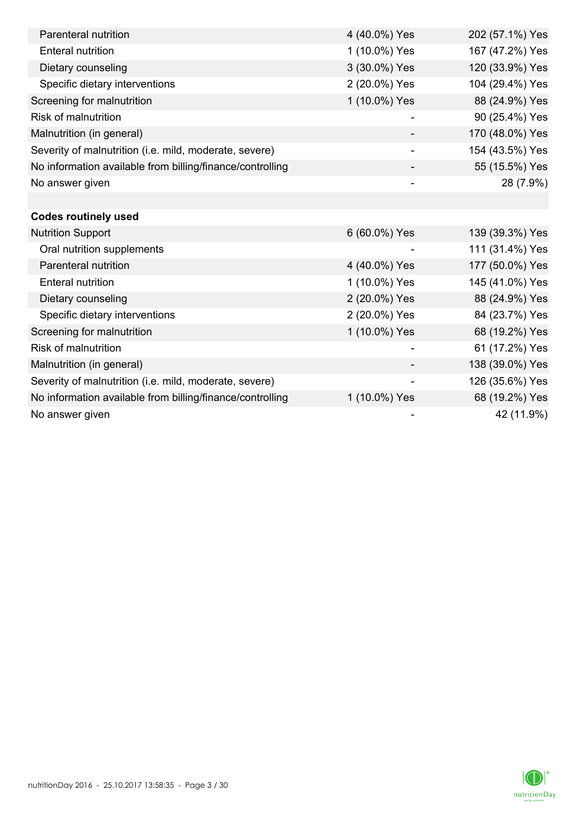| Parenteral nutrition                                      | 4 (40.0%) Yes            | 202 (57.1%) Yes |
|-----------------------------------------------------------|--------------------------|-----------------|
| <b>Enteral nutrition</b>                                  | 1 (10.0%) Yes            | 167 (47.2%) Yes |
| Dietary counseling                                        | 3 (30.0%) Yes            | 120 (33.9%) Yes |
| Specific dietary interventions                            | 2 (20.0%) Yes            | 104 (29.4%) Yes |
| Screening for malnutrition                                | 1 (10.0%) Yes            | 88 (24.9%) Yes  |
| <b>Risk of malnutrition</b>                               |                          | 90 (25.4%) Yes  |
| Malnutrition (in general)                                 |                          | 170 (48.0%) Yes |
| Severity of malnutrition (i.e. mild, moderate, severe)    | $\overline{\phantom{a}}$ | 154 (43.5%) Yes |
| No information available from billing/finance/controlling |                          | 55 (15.5%) Yes  |
| No answer given                                           |                          | 28 (7.9%)       |
|                                                           |                          |                 |
| <b>Codes routinely used</b>                               |                          |                 |
| <b>Nutrition Support</b>                                  | 6 (60.0%) Yes            | 139 (39.3%) Yes |
| Oral nutrition supplements                                |                          | 111 (31.4%) Yes |
| Parenteral nutrition                                      | 4 (40.0%) Yes            | 177 (50.0%) Yes |
| <b>Enteral nutrition</b>                                  | 1 (10.0%) Yes            | 145 (41.0%) Yes |
| Dietary counseling                                        | 2 (20.0%) Yes            | 88 (24.9%) Yes  |
| Specific dietary interventions                            | 2 (20.0%) Yes            | 84 (23.7%) Yes  |
| Screening for malnutrition                                | 1 (10.0%) Yes            | 68 (19.2%) Yes  |
| <b>Risk of malnutrition</b>                               |                          | 61 (17.2%) Yes  |
| Malnutrition (in general)                                 |                          | 138 (39.0%) Yes |
| Severity of malnutrition (i.e. mild, moderate, severe)    | $\overline{\phantom{a}}$ | 126 (35.6%) Yes |
| No information available from billing/finance/controlling | 1 (10.0%) Yes            | 68 (19.2%) Yes  |
| No answer given                                           |                          | 42 (11.9%)      |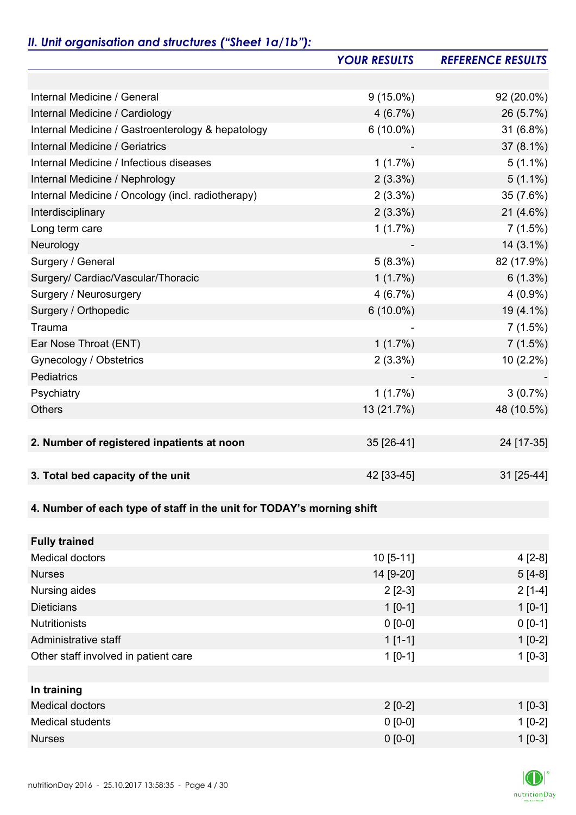# *II. Unit organisation and structures ("Sheet 1a/1b"):*

|                                                                       | <b>YOUR RESULTS</b> | <b>REFERENCE RESULTS</b> |
|-----------------------------------------------------------------------|---------------------|--------------------------|
|                                                                       |                     |                          |
| Internal Medicine / General                                           | $9(15.0\%)$         | 92 (20.0%)               |
| Internal Medicine / Cardiology                                        | 4(6.7%)             | 26 (5.7%)                |
| Internal Medicine / Gastroenterology & hepatology                     | $6(10.0\%)$         | 31 (6.8%)                |
| Internal Medicine / Geriatrics                                        |                     | 37 (8.1%)                |
| Internal Medicine / Infectious diseases                               | 1(1.7%)             | $5(1.1\%)$               |
| Internal Medicine / Nephrology                                        | $2(3.3\%)$          | $5(1.1\%)$               |
| Internal Medicine / Oncology (incl. radiotherapy)                     | $2(3.3\%)$          | 35 (7.6%)                |
| Interdisciplinary                                                     | $2(3.3\%)$          | 21 (4.6%)                |
| Long term care                                                        | 1(1.7%)             | 7(1.5%)                  |
| Neurology                                                             |                     | $14(3.1\%)$              |
| Surgery / General                                                     | 5(8.3%)             | 82 (17.9%)               |
| Surgery/ Cardiac/Vascular/Thoracic                                    | $1(1.7\%)$          | $6(1.3\%)$               |
| Surgery / Neurosurgery                                                | 4(6.7%)             | $4(0.9\%)$               |
| Surgery / Orthopedic                                                  | $6(10.0\%)$         | 19 (4.1%)                |
| Trauma                                                                |                     | 7(1.5%)                  |
| Ear Nose Throat (ENT)                                                 | 1(1.7%)             | $7(1.5\%)$               |
| Gynecology / Obstetrics                                               | 2(3.3%)             | 10 (2.2%)                |
| Pediatrics                                                            |                     |                          |
| Psychiatry                                                            | 1(1.7%)             | $3(0.7\%)$               |
| <b>Others</b>                                                         | 13 (21.7%)          | 48 (10.5%)               |
|                                                                       |                     |                          |
| 2. Number of registered inpatients at noon                            | 35 [26-41]          | 24 [17-35]               |
|                                                                       |                     |                          |
| 3. Total bed capacity of the unit                                     | 42 [33-45]          | 31 [25-44]               |
|                                                                       |                     |                          |
| 4. Number of each type of staff in the unit for TODAY's morning shift |                     |                          |
|                                                                       |                     |                          |
| <b>Fully trained</b>                                                  |                     |                          |
| <b>Medical doctors</b>                                                | 10 [5-11]           | $4[2-8]$                 |
| <b>Nurses</b>                                                         | 14 [9-20]           | $5[4-8]$                 |
| Nursing aides                                                         | $2[2-3]$            | $2[1-4]$                 |
| <b>Dieticians</b>                                                     | $1[0-1]$            | $1 [0-1]$                |
| <b>Nutritionists</b>                                                  | $0 [0-0]$           | $0 [0-1]$                |
| Administrative staff                                                  | $1[1-1]$            | $1[0-2]$                 |
| Other staff involved in patient care                                  | $1 [0-1]$           | $1[0-3]$                 |
|                                                                       |                     |                          |
| In training                                                           |                     |                          |
| <b>Medical doctors</b>                                                | $2[0-2]$            | $1 [0-3]$                |
| <b>Medical students</b>                                               | $0 [0-0]$           | $1[0-2]$                 |
| <b>Nurses</b>                                                         | $0 [0-0]$           | $1[0-3]$                 |

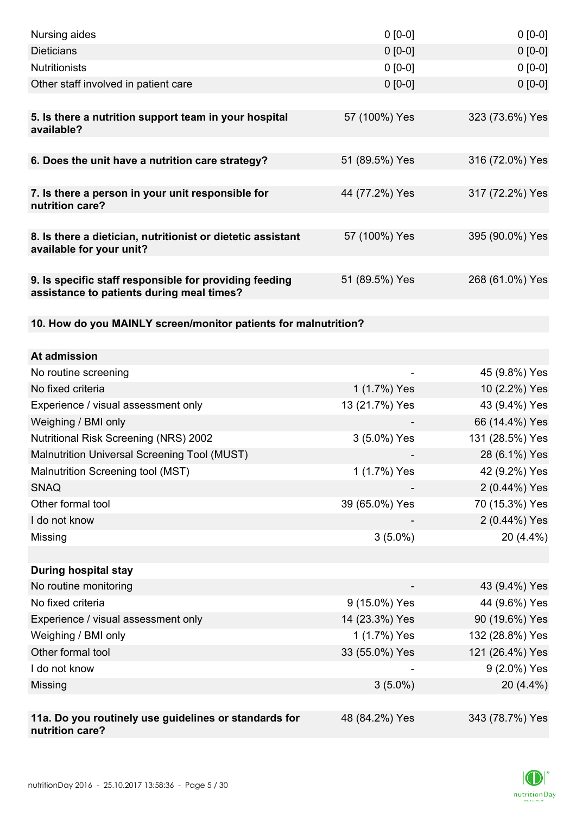| Nursing aides                                                                                       | $0 [0-0]$      | $0$ [0-0]       |
|-----------------------------------------------------------------------------------------------------|----------------|-----------------|
| <b>Dieticians</b>                                                                                   | $0 [0-0]$      | $0[0-0]$        |
| <b>Nutritionists</b>                                                                                | $0 [0-0]$      | $0[0-0]$        |
| Other staff involved in patient care                                                                | $0 [0-0]$      | $0 [0-0]$       |
|                                                                                                     |                |                 |
| 5. Is there a nutrition support team in your hospital<br>available?                                 | 57 (100%) Yes  | 323 (73.6%) Yes |
| 6. Does the unit have a nutrition care strategy?                                                    | 51 (89.5%) Yes | 316 (72.0%) Yes |
| 7. Is there a person in your unit responsible for<br>nutrition care?                                | 44 (77.2%) Yes | 317 (72.2%) Yes |
|                                                                                                     |                |                 |
| 8. Is there a dietician, nutritionist or dietetic assistant<br>available for your unit?             | 57 (100%) Yes  | 395 (90.0%) Yes |
| 9. Is specific staff responsible for providing feeding<br>assistance to patients during meal times? | 51 (89.5%) Yes | 268 (61.0%) Yes |
| 10. How do you MAINLY screen/monitor patients for malnutrition?                                     |                |                 |
|                                                                                                     |                |                 |
| At admission                                                                                        |                |                 |
| No routine screening                                                                                |                | 45 (9.8%) Yes   |
| No fixed criteria                                                                                   | 1 (1.7%) Yes   | 10 (2.2%) Yes   |
| Experience / visual assessment only                                                                 | 13 (21.7%) Yes | 43 (9.4%) Yes   |
| Weighing / BMI only                                                                                 |                | 66 (14.4%) Yes  |
| <b>Nutritional Risk Screening (NRS) 2002</b>                                                        | 3 (5.0%) Yes   | 131 (28.5%) Yes |
| Malnutrition Universal Screening Tool (MUST)                                                        |                | 28 (6.1%) Yes   |
| Malnutrition Screening tool (MST)                                                                   | 1 (1.7%) Yes   | 42 (9.2%) Yes   |
| <b>SNAQ</b>                                                                                         |                | 2 (0.44%) Yes   |
| Other formal tool                                                                                   | 39 (65.0%) Yes | 70 (15.3%) Yes  |
| I do not know                                                                                       |                | 2 (0.44%) Yes   |
| Missing                                                                                             | $3(5.0\%)$     | 20 (4.4%)       |
| <b>During hospital stay</b>                                                                         |                |                 |
| No routine monitoring                                                                               |                | 43 (9.4%) Yes   |
| No fixed criteria                                                                                   | 9 (15.0%) Yes  | 44 (9.6%) Yes   |
| Experience / visual assessment only                                                                 | 14 (23.3%) Yes | 90 (19.6%) Yes  |
| Weighing / BMI only                                                                                 | 1 (1.7%) Yes   | 132 (28.8%) Yes |
| Other formal tool                                                                                   | 33 (55.0%) Yes | 121 (26.4%) Yes |
| I do not know                                                                                       |                | 9 (2.0%) Yes    |
| Missing                                                                                             | $3(5.0\%)$     | 20 (4.4%)       |
|                                                                                                     |                |                 |
| 11a. Do you routinely use guidelines or standards for<br>nutrition care?                            | 48 (84.2%) Yes | 343 (78.7%) Yes |

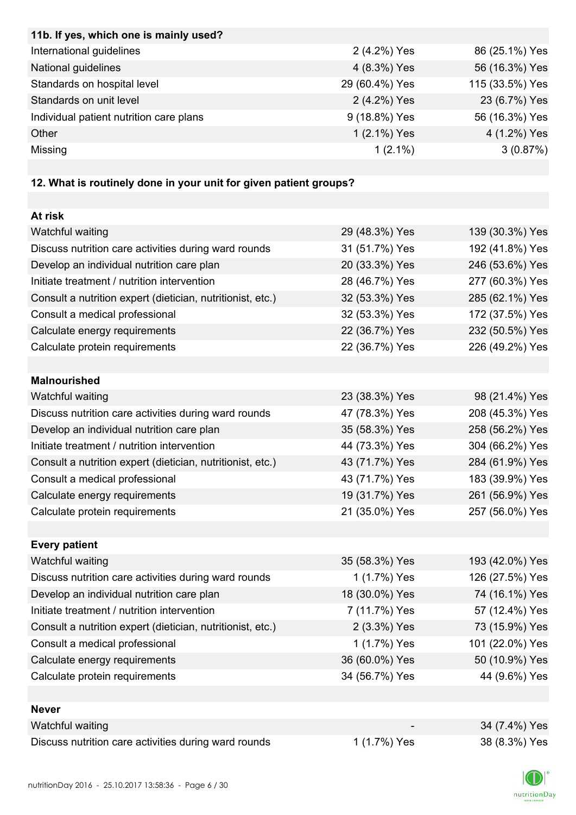| 11b. If yes, which one is mainly used?                            |                |                 |
|-------------------------------------------------------------------|----------------|-----------------|
| International guidelines                                          | 2 (4.2%) Yes   | 86 (25.1%) Yes  |
| National guidelines                                               | 4 (8.3%) Yes   | 56 (16.3%) Yes  |
| Standards on hospital level                                       | 29 (60.4%) Yes | 115 (33.5%) Yes |
| Standards on unit level                                           | 2 (4.2%) Yes   | 23 (6.7%) Yes   |
| Individual patient nutrition care plans                           | 9 (18.8%) Yes  | 56 (16.3%) Yes  |
| Other                                                             | 1 (2.1%) Yes   | 4 (1.2%) Yes    |
| Missing                                                           | $1(2.1\%)$     | 3(0.87%)        |
|                                                                   |                |                 |
| 12. What is routinely done in your unit for given patient groups? |                |                 |
|                                                                   |                |                 |
| At risk                                                           |                |                 |
| Watchful waiting                                                  | 29 (48.3%) Yes | 139 (30.3%) Yes |
| Discuss nutrition care activities during ward rounds              | 31 (51.7%) Yes | 192 (41.8%) Yes |
| Develop an individual nutrition care plan                         | 20 (33.3%) Yes | 246 (53.6%) Yes |
| Initiate treatment / nutrition intervention                       | 28 (46.7%) Yes | 277 (60.3%) Yes |
| Consult a nutrition expert (dietician, nutritionist, etc.)        | 32 (53.3%) Yes | 285 (62.1%) Yes |
| Consult a medical professional                                    | 32 (53.3%) Yes | 172 (37.5%) Yes |
| Calculate energy requirements                                     | 22 (36.7%) Yes | 232 (50.5%) Yes |
| Calculate protein requirements                                    | 22 (36.7%) Yes | 226 (49.2%) Yes |
|                                                                   |                |                 |
| <b>Malnourished</b>                                               |                |                 |
| Watchful waiting                                                  | 23 (38.3%) Yes | 98 (21.4%) Yes  |
| Discuss nutrition care activities during ward rounds              | 47 (78.3%) Yes | 208 (45.3%) Yes |
| Develop an individual nutrition care plan                         | 35 (58.3%) Yes | 258 (56.2%) Yes |
| Initiate treatment / nutrition intervention                       | 44 (73.3%) Yes | 304 (66.2%) Yes |
| Consult a nutrition expert (dietician, nutritionist, etc.)        | 43 (71.7%) Yes | 284 (61.9%) Yes |
| Consult a medical professional                                    | 43 (71.7%) Yes | 183 (39.9%) Yes |
| Calculate energy requirements                                     | 19 (31.7%) Yes | 261 (56.9%) Yes |
| Calculate protein requirements                                    | 21 (35.0%) Yes | 257 (56.0%) Yes |
|                                                                   |                |                 |
| <b>Every patient</b>                                              |                |                 |
| Watchful waiting                                                  | 35 (58.3%) Yes | 193 (42.0%) Yes |
| Discuss nutrition care activities during ward rounds              | 1 (1.7%) Yes   | 126 (27.5%) Yes |
| Develop an individual nutrition care plan                         | 18 (30.0%) Yes | 74 (16.1%) Yes  |
| Initiate treatment / nutrition intervention                       | 7 (11.7%) Yes  | 57 (12.4%) Yes  |
| Consult a nutrition expert (dietician, nutritionist, etc.)        | 2 (3.3%) Yes   | 73 (15.9%) Yes  |
| Consult a medical professional                                    | 1 (1.7%) Yes   | 101 (22.0%) Yes |
| Calculate energy requirements                                     | 36 (60.0%) Yes | 50 (10.9%) Yes  |
| Calculate protein requirements                                    | 34 (56.7%) Yes | 44 (9.6%) Yes   |
|                                                                   |                |                 |
| <b>Never</b>                                                      |                |                 |
| Watchful waiting                                                  |                | 34 (7.4%) Yes   |
| Discuss nutrition care activities during ward rounds              | 1 (1.7%) Yes   | 38 (8.3%) Yes   |
|                                                                   |                |                 |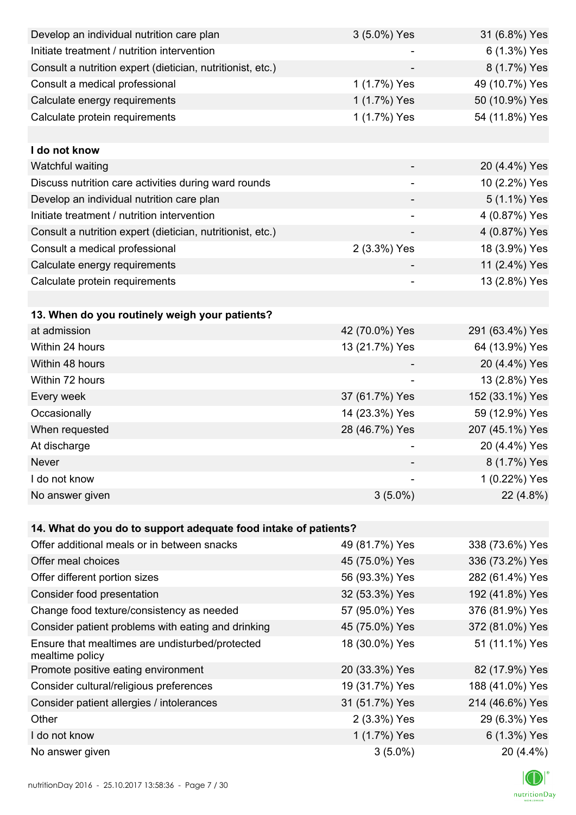| Develop an individual nutrition care plan                          | 3 (5.0%) Yes             | 31 (6.8%) Yes   |
|--------------------------------------------------------------------|--------------------------|-----------------|
| Initiate treatment / nutrition intervention                        |                          | 6 (1.3%) Yes    |
| Consult a nutrition expert (dietician, nutritionist, etc.)         |                          | 8 (1.7%) Yes    |
| Consult a medical professional                                     | 1 (1.7%) Yes             | 49 (10.7%) Yes  |
| Calculate energy requirements                                      | 1 (1.7%) Yes             | 50 (10.9%) Yes  |
| Calculate protein requirements                                     | 1 (1.7%) Yes             | 54 (11.8%) Yes  |
|                                                                    |                          |                 |
| I do not know                                                      |                          |                 |
| Watchful waiting                                                   |                          | 20 (4.4%) Yes   |
| Discuss nutrition care activities during ward rounds               | $\overline{\phantom{a}}$ | 10 (2.2%) Yes   |
| Develop an individual nutrition care plan                          |                          | 5 (1.1%) Yes    |
| Initiate treatment / nutrition intervention                        | -                        | 4 (0.87%) Yes   |
| Consult a nutrition expert (dietician, nutritionist, etc.)         |                          | 4 (0.87%) Yes   |
| Consult a medical professional                                     | 2 (3.3%) Yes             | 18 (3.9%) Yes   |
| Calculate energy requirements                                      |                          | 11 (2.4%) Yes   |
| Calculate protein requirements                                     | -                        | 13 (2.8%) Yes   |
|                                                                    |                          |                 |
| 13. When do you routinely weigh your patients?                     |                          |                 |
| at admission                                                       | 42 (70.0%) Yes           | 291 (63.4%) Yes |
| Within 24 hours                                                    | 13 (21.7%) Yes           | 64 (13.9%) Yes  |
| Within 48 hours                                                    |                          | 20 (4.4%) Yes   |
| Within 72 hours                                                    | -                        | 13 (2.8%) Yes   |
| Every week                                                         | 37 (61.7%) Yes           | 152 (33.1%) Yes |
| Occasionally                                                       | 14 (23.3%) Yes           | 59 (12.9%) Yes  |
| When requested                                                     | 28 (46.7%) Yes           | 207 (45.1%) Yes |
| At discharge                                                       |                          | 20 (4.4%) Yes   |
| Never                                                              |                          | 8 (1.7%) Yes    |
| I do not know                                                      |                          | 1 (0.22%) Yes   |
| No answer given                                                    | $3(5.0\%)$               | 22 (4.8%)       |
|                                                                    |                          |                 |
| 14. What do you do to support adequate food intake of patients?    |                          |                 |
| Offer additional meals or in between snacks                        | 49 (81.7%) Yes           | 338 (73.6%) Yes |
| Offer meal choices                                                 | 45 (75.0%) Yes           | 336 (73.2%) Yes |
| Offer different portion sizes                                      | 56 (93.3%) Yes           | 282 (61.4%) Yes |
| Consider food presentation                                         | 32 (53.3%) Yes           | 192 (41.8%) Yes |
| Change food texture/consistency as needed                          | 57 (95.0%) Yes           | 376 (81.9%) Yes |
| Consider patient problems with eating and drinking                 | 45 (75.0%) Yes           | 372 (81.0%) Yes |
| Ensure that mealtimes are undisturbed/protected<br>mealtime policy | 18 (30.0%) Yes           | 51 (11.1%) Yes  |
| Promote positive eating environment                                | 20 (33.3%) Yes           | 82 (17.9%) Yes  |
| Consider cultural/religious preferences                            | 19 (31.7%) Yes           | 188 (41.0%) Yes |
| Consider patient allergies / intolerances                          | 31 (51.7%) Yes           | 214 (46.6%) Yes |
| Other                                                              | 2 (3.3%) Yes             | 29 (6.3%) Yes   |
| I do not know                                                      | 1 (1.7%) Yes             | 6 (1.3%) Yes    |
| No answer given                                                    | $3(5.0\%)$               | 20 (4.4%)       |

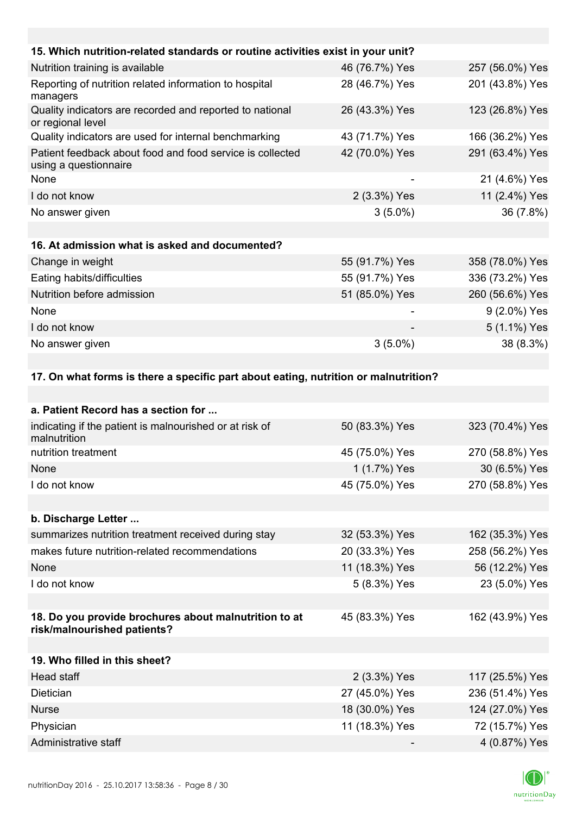| 15. Which nutrition-related standards or routine activities exist in your unit?    |                |                 |
|------------------------------------------------------------------------------------|----------------|-----------------|
| Nutrition training is available                                                    | 46 (76.7%) Yes | 257 (56.0%) Yes |
| Reporting of nutrition related information to hospital<br>managers                 | 28 (46.7%) Yes | 201 (43.8%) Yes |
| Quality indicators are recorded and reported to national<br>or regional level      | 26 (43.3%) Yes | 123 (26.8%) Yes |
| Quality indicators are used for internal benchmarking                              | 43 (71.7%) Yes | 166 (36.2%) Yes |
| Patient feedback about food and food service is collected<br>using a questionnaire | 42 (70.0%) Yes | 291 (63.4%) Yes |
| None                                                                               |                | 21 (4.6%) Yes   |
| I do not know                                                                      | 2 (3.3%) Yes   | 11 (2.4%) Yes   |
| No answer given                                                                    | $3(5.0\%)$     | 36 (7.8%)       |
|                                                                                    |                |                 |
| 16. At admission what is asked and documented?                                     |                |                 |
| Change in weight                                                                   | 55 (91.7%) Yes | 358 (78.0%) Yes |
| Eating habits/difficulties                                                         | 55 (91.7%) Yes | 336 (73.2%) Yes |
| Nutrition before admission                                                         | 51 (85.0%) Yes | 260 (56.6%) Yes |
| None                                                                               |                | 9 (2.0%) Yes    |
| I do not know                                                                      |                | 5 (1.1%) Yes    |
| No answer given                                                                    | $3(5.0\%)$     | 38 (8.3%)       |
|                                                                                    |                |                 |
|                                                                                    |                |                 |

### **17. On what forms is there a specific part about eating, nutrition or malnutrition?**

| 50 (83.3%) Yes | 323 (70.4%) Yes |
|----------------|-----------------|
| 45 (75.0%) Yes | 270 (58.8%) Yes |
| 1 (1.7%) Yes   | 30 (6.5%) Yes   |
| 45 (75.0%) Yes | 270 (58.8%) Yes |
|                |                 |
|                |                 |
| 32 (53.3%) Yes | 162 (35.3%) Yes |
| 20 (33.3%) Yes | 258 (56.2%) Yes |
| 11 (18.3%) Yes | 56 (12.2%) Yes  |
| 5 (8.3%) Yes   | 23 (5.0%) Yes   |
|                |                 |
| 45 (83.3%) Yes | 162 (43.9%) Yes |
|                |                 |
|                |                 |
| 2 (3.3%) Yes   | 117 (25.5%) Yes |
| 27 (45.0%) Yes | 236 (51.4%) Yes |
| 18 (30.0%) Yes | 124 (27.0%) Yes |
| 11 (18.3%) Yes | 72 (15.7%) Yes  |
|                | 4 (0.87%) Yes   |
|                |                 |

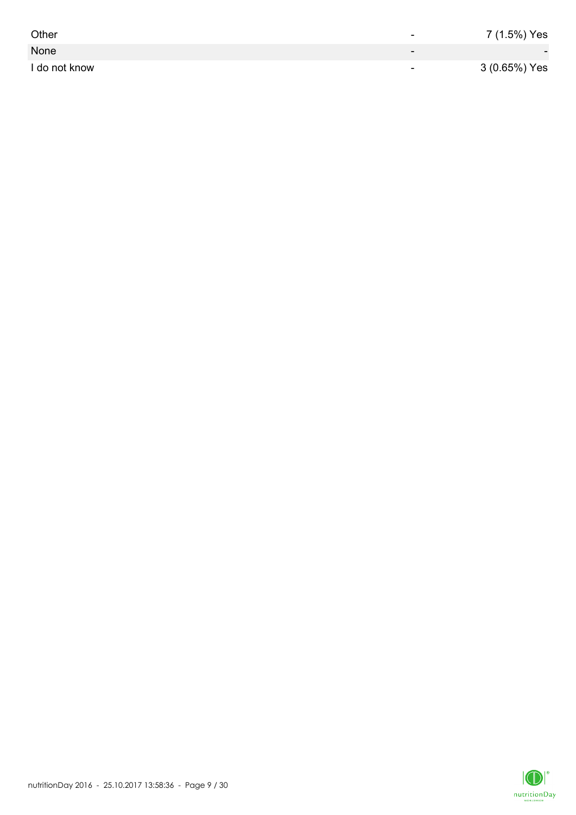| Other         | -                        | 7 (1.5%) Yes             |
|---------------|--------------------------|--------------------------|
| None          | $\overline{\phantom{0}}$ | $\overline{\phantom{0}}$ |
| I do not know | $\overline{\phantom{0}}$ | 3 (0.65%) Yes            |

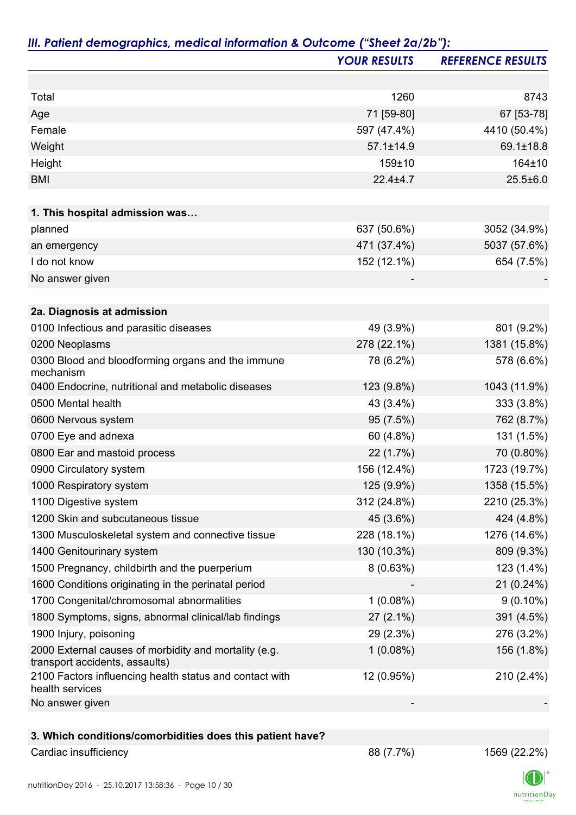|                                                                                         | <b>YOUR RESULTS</b> | <b>REFERENCE RESULTS</b> |
|-----------------------------------------------------------------------------------------|---------------------|--------------------------|
|                                                                                         |                     |                          |
| Total                                                                                   | 1260                | 8743                     |
| Age                                                                                     | 71 [59-80]          | 67 [53-78]               |
| Female                                                                                  | 597 (47.4%)         | 4410 (50.4%)             |
| Weight                                                                                  | $57.1 \pm 14.9$     | 69.1±18.8                |
| Height                                                                                  | 159±10              | 164±10                   |
| <b>BMI</b>                                                                              | $22.4 \pm 4.7$      | $25.5 \pm 6.0$           |
| 1. This hospital admission was                                                          |                     |                          |
| planned                                                                                 | 637 (50.6%)         | 3052 (34.9%)             |
| an emergency                                                                            | 471 (37.4%)         | 5037 (57.6%)             |
| I do not know                                                                           | 152 (12.1%)         | 654 (7.5%)               |
| No answer given                                                                         |                     |                          |
|                                                                                         |                     |                          |
| 2a. Diagnosis at admission                                                              |                     |                          |
| 0100 Infectious and parasitic diseases                                                  | 49 (3.9%)           | 801 (9.2%)               |
| 0200 Neoplasms                                                                          | 278 (22.1%)         | 1381 (15.8%)             |
| 0300 Blood and bloodforming organs and the immune<br>mechanism                          | 78 (6.2%)           | 578 (6.6%)               |
| 0400 Endocrine, nutritional and metabolic diseases                                      | 123 (9.8%)          | 1043 (11.9%)             |
| 0500 Mental health                                                                      | 43 (3.4%)           | 333 (3.8%)               |
| 0600 Nervous system                                                                     | 95 (7.5%)           | 762 (8.7%)               |
| 0700 Eye and adnexa                                                                     | 60 (4.8%)           | 131 (1.5%)               |
| 0800 Ear and mastoid process                                                            | 22 (1.7%)           | 70 (0.80%)               |
| 0900 Circulatory system                                                                 | 156 (12.4%)         | 1723 (19.7%)             |
| 1000 Respiratory system                                                                 | 125 (9.9%)          | 1358 (15.5%)             |
| 1100 Digestive system                                                                   | 312 (24.8%)         | 2210 (25.3%)             |
| 1200 Skin and subcutaneous tissue                                                       | 45 (3.6%)           | 424 (4.8%)               |
| 1300 Musculoskeletal system and connective tissue                                       | 228 (18.1%)         | 1276 (14.6%)             |
| 1400 Genitourinary system                                                               | 130 (10.3%)         | 809 (9.3%)               |
| 1500 Pregnancy, childbirth and the puerperium                                           | 8(0.63%)            | 123 (1.4%)               |
| 1600 Conditions originating in the perinatal period                                     |                     | 21 (0.24%)               |
| 1700 Congenital/chromosomal abnormalities                                               | $1(0.08\%)$         | $9(0.10\%)$              |
| 1800 Symptoms, signs, abnormal clinical/lab findings                                    | $27(2.1\%)$         | 391 (4.5%)               |
| 1900 Injury, poisoning                                                                  | 29 (2.3%)           | 276 (3.2%)               |
| 2000 External causes of morbidity and mortality (e.g.<br>transport accidents, assaults) | 1(0.08%)            | 156 (1.8%)               |
| 2100 Factors influencing health status and contact with<br>health services              | 12 (0.95%)          | 210 (2.4%)               |
| No answer given                                                                         |                     |                          |
|                                                                                         |                     |                          |
| 3. Which conditions/comorbidities does this patient have?                               |                     |                          |
| Cardiac insufficiency                                                                   | 88 (7.7%)           | 1569 (22.2%)             |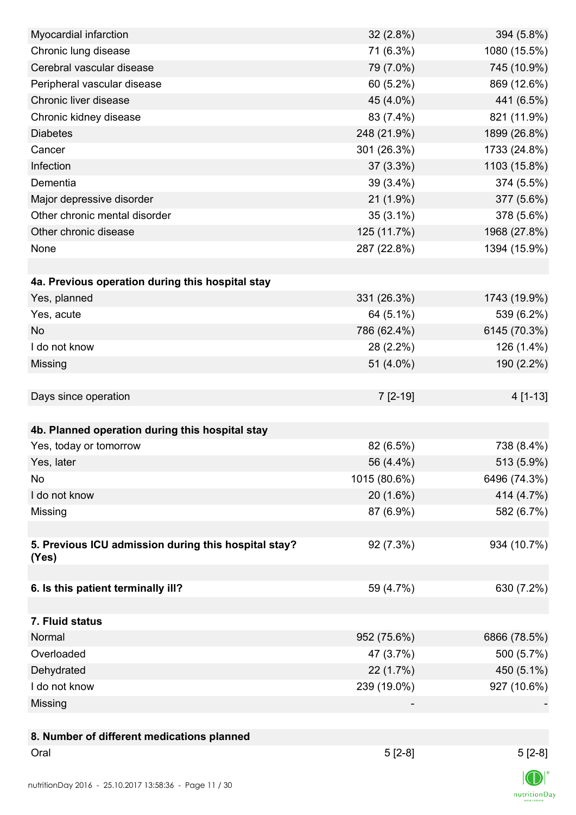| Myocardial infarction                                | $32(2.8\%)$  | 394 (5.8%)   |
|------------------------------------------------------|--------------|--------------|
| Chronic lung disease                                 | 71 (6.3%)    | 1080 (15.5%) |
| Cerebral vascular disease                            | 79 (7.0%)    | 745 (10.9%)  |
| Peripheral vascular disease                          | 60 (5.2%)    | 869 (12.6%)  |
| Chronic liver disease                                | 45 (4.0%)    | 441 (6.5%)   |
| Chronic kidney disease                               | 83 (7.4%)    | 821 (11.9%)  |
| <b>Diabetes</b>                                      | 248 (21.9%)  | 1899 (26.8%) |
| Cancer                                               | 301 (26.3%)  | 1733 (24.8%) |
| Infection                                            | 37 (3.3%)    | 1103 (15.8%) |
| Dementia                                             | 39 (3.4%)    | 374 (5.5%)   |
| Major depressive disorder                            | $21(1.9\%)$  | 377 (5.6%)   |
| Other chronic mental disorder                        | $35(3.1\%)$  | 378 (5.6%)   |
| Other chronic disease                                | 125 (11.7%)  | 1968 (27.8%) |
| None                                                 | 287 (22.8%)  | 1394 (15.9%) |
|                                                      |              |              |
| 4a. Previous operation during this hospital stay     |              |              |
| Yes, planned                                         | 331 (26.3%)  | 1743 (19.9%) |
| Yes, acute                                           | 64 (5.1%)    | 539 (6.2%)   |
| <b>No</b>                                            | 786 (62.4%)  | 6145 (70.3%) |
| I do not know                                        | 28 (2.2%)    | 126 (1.4%)   |
| Missing                                              | 51 (4.0%)    | 190 (2.2%)   |
|                                                      |              |              |
| Days since operation                                 | $7[2-19]$    | 4 [1-13]     |
|                                                      |              |              |
| 4b. Planned operation during this hospital stay      |              |              |
| Yes, today or tomorrow                               | 82 (6.5%)    | 738 (8.4%)   |
| Yes, later                                           | 56 (4.4%)    | 513 (5.9%)   |
| No                                                   | 1015 (80.6%) | 6496 (74.3%) |
| I do not know                                        | 20 (1.6%)    | 414 (4.7%)   |
| Missing                                              | 87 (6.9%)    | 582 (6.7%)   |
|                                                      |              |              |
| 5. Previous ICU admission during this hospital stay? | 92 (7.3%)    | 934 (10.7%)  |
| (Yes)                                                |              |              |
|                                                      |              |              |
| 6. Is this patient terminally ill?                   | 59 (4.7%)    | 630 (7.2%)   |
|                                                      |              |              |
| 7. Fluid status                                      |              |              |
| Normal                                               | 952 (75.6%)  | 6866 (78.5%) |
| Overloaded                                           | 47 (3.7%)    | 500 (5.7%)   |
| Dehydrated                                           | 22 (1.7%)    | 450 (5.1%)   |
| I do not know                                        | 239 (19.0%)  | 927 (10.6%)  |
| Missing                                              |              |              |
|                                                      |              |              |
| 8. Number of different medications planned           |              |              |
| Oral                                                 | $5[2-8]$     | $5[2-8]$     |
|                                                      |              | $\sqrt{N}$   |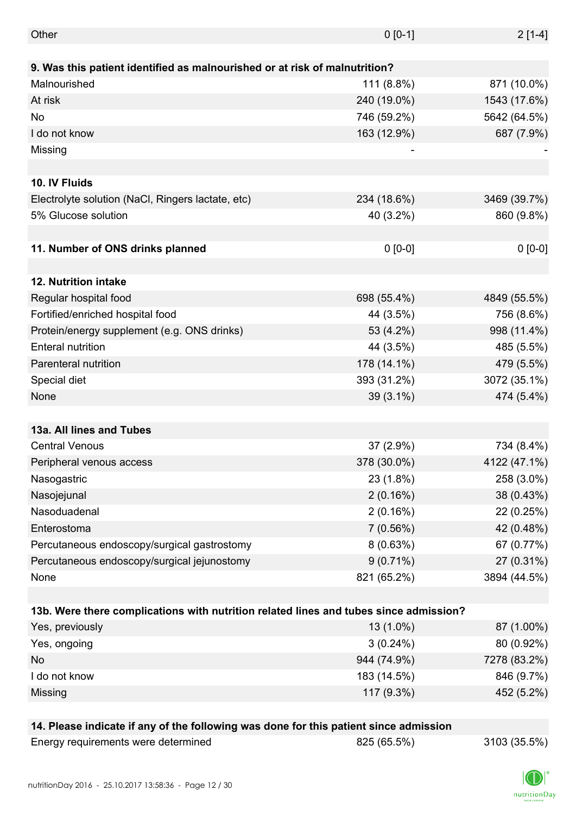| Other                                                                                 | $0 [0-1]$   | $2[1-4]$     |
|---------------------------------------------------------------------------------------|-------------|--------------|
|                                                                                       |             |              |
| 9. Was this patient identified as malnourished or at risk of malnutrition?            |             |              |
| Malnourished                                                                          | 111 (8.8%)  | 871 (10.0%)  |
| At risk                                                                               | 240 (19.0%) | 1543 (17.6%) |
| No                                                                                    | 746 (59.2%) | 5642 (64.5%) |
| I do not know                                                                         | 163 (12.9%) | 687 (7.9%)   |
| Missing                                                                               |             |              |
|                                                                                       |             |              |
| 10. IV Fluids                                                                         |             |              |
| Electrolyte solution (NaCl, Ringers lactate, etc)                                     | 234 (18.6%) | 3469 (39.7%) |
| 5% Glucose solution                                                                   | 40 (3.2%)   | 860 (9.8%)   |
|                                                                                       |             |              |
| 11. Number of ONS drinks planned                                                      | $0 [0-0]$   | $0 [0-0]$    |
|                                                                                       |             |              |
| 12. Nutrition intake                                                                  |             |              |
| Regular hospital food                                                                 | 698 (55.4%) | 4849 (55.5%) |
| Fortified/enriched hospital food                                                      | 44 (3.5%)   | 756 (8.6%)   |
| Protein/energy supplement (e.g. ONS drinks)                                           | 53 (4.2%)   | 998 (11.4%)  |
| <b>Enteral nutrition</b>                                                              | 44 (3.5%)   | 485 (5.5%)   |
| Parenteral nutrition                                                                  | 178 (14.1%) | 479 (5.5%)   |
| Special diet                                                                          | 393 (31.2%) | 3072 (35.1%) |
| None                                                                                  | $39(3.1\%)$ | 474 (5.4%)   |
|                                                                                       |             |              |
| 13a. All lines and Tubes                                                              |             |              |
| <b>Central Venous</b>                                                                 | 37 (2.9%)   | 734 (8.4%)   |
| Peripheral venous access                                                              | 378 (30.0%) | 4122 (47.1%) |
| Nasogastric                                                                           | 23 (1.8%)   | 258 (3.0%)   |
| Nasojejunal                                                                           | 2(0.16%)    | 38 (0.43%)   |
| Nasoduadenal                                                                          | 2(0.16%)    | 22 (0.25%)   |
| Enterostoma                                                                           | 7(0.56%)    | 42 (0.48%)   |
| Percutaneous endoscopy/surgical gastrostomy                                           | 8(0.63%)    | 67 (0.77%)   |
| Percutaneous endoscopy/surgical jejunostomy                                           | $9(0.71\%)$ | 27 (0.31%)   |
| None                                                                                  | 821 (65.2%) | 3894 (44.5%) |
|                                                                                       |             |              |
| 13b. Were there complications with nutrition related lines and tubes since admission? |             |              |
| Yes, previously                                                                       | 13 (1.0%)   | 87 (1.00%)   |
| Yes, ongoing                                                                          | $3(0.24\%)$ | 80 (0.92%)   |
| No                                                                                    | 944 (74.9%) | 7278 (83.2%) |
| I do not know                                                                         | 183 (14.5%) | 846 (9.7%)   |
| Missing                                                                               | 117 (9.3%)  | 452 (5.2%)   |
|                                                                                       |             |              |
| 14. Please indicate if any of the following was done for this patient since admission |             |              |
| Energy requirements were determined                                                   | 825 (65.5%) | 3103 (35.5%) |

nutritionDay 2016 - 25.10.2017 13:58:36 - Page 12 / 30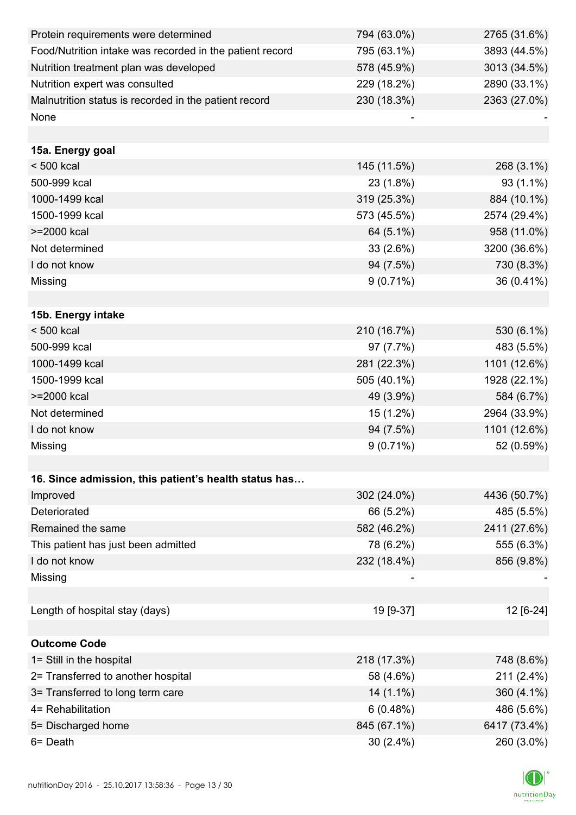| Protein requirements were determined                     | 794 (63.0%) | 2765 (31.6%) |
|----------------------------------------------------------|-------------|--------------|
| Food/Nutrition intake was recorded in the patient record | 795 (63.1%) | 3893 (44.5%) |
| Nutrition treatment plan was developed                   | 578 (45.9%) | 3013 (34.5%) |
| Nutrition expert was consulted                           | 229 (18.2%) | 2890 (33.1%) |
| Malnutrition status is recorded in the patient record    | 230 (18.3%) | 2363 (27.0%) |
| None                                                     |             |              |
|                                                          |             |              |
| 15a. Energy goal                                         |             |              |
| $< 500$ kcal                                             | 145 (11.5%) | 268 (3.1%)   |
| 500-999 kcal                                             | 23 (1.8%)   | $93(1.1\%)$  |
| 1000-1499 kcal                                           | 319 (25.3%) | 884 (10.1%)  |
| 1500-1999 kcal                                           | 573 (45.5%) | 2574 (29.4%) |
| >=2000 kcal                                              | 64 (5.1%)   | 958 (11.0%)  |
| Not determined                                           | 33(2.6%)    | 3200 (36.6%) |
| I do not know                                            | 94 (7.5%)   | 730 (8.3%)   |
| Missing                                                  | $9(0.71\%)$ | 36 (0.41%)   |
|                                                          |             |              |
| 15b. Energy intake                                       |             |              |
| $< 500$ kcal                                             | 210 (16.7%) | 530 (6.1%)   |
| 500-999 kcal                                             | 97 (7.7%)   | 483 (5.5%)   |
| 1000-1499 kcal                                           | 281 (22.3%) | 1101 (12.6%) |
| 1500-1999 kcal                                           | 505 (40.1%) | 1928 (22.1%) |
| >=2000 kcal                                              | 49 (3.9%)   | 584 (6.7%)   |
| Not determined                                           | 15 (1.2%)   | 2964 (33.9%) |
| I do not know                                            | 94 (7.5%)   | 1101 (12.6%) |
| Missing                                                  | $9(0.71\%)$ | 52 (0.59%)   |
|                                                          |             |              |
| 16. Since admission, this patient's health status has    |             |              |
| Improved                                                 | 302 (24.0%) | 4436 (50.7%) |
| Deteriorated                                             | 66 (5.2%)   | 485 (5.5%)   |
| Remained the same                                        | 582 (46.2%) | 2411 (27.6%) |
| This patient has just been admitted                      | 78 (6.2%)   | 555 (6.3%)   |
| I do not know                                            | 232 (18.4%) | 856 (9.8%)   |
| Missing                                                  |             |              |
|                                                          |             |              |
| Length of hospital stay (days)                           | 19 [9-37]   | 12 [6-24]    |
|                                                          |             |              |
| <b>Outcome Code</b>                                      |             |              |
| 1= Still in the hospital                                 | 218 (17.3%) | 748 (8.6%)   |
| 2= Transferred to another hospital                       | 58 (4.6%)   | 211 (2.4%)   |
| 3= Transferred to long term care                         | $14(1.1\%)$ | 360 (4.1%)   |
| 4= Rehabilitation                                        | 6(0.48%)    | 486 (5.6%)   |
| 5= Discharged home                                       | 845 (67.1%) | 6417 (73.4%) |
| 6= Death                                                 | $30(2.4\%)$ | 260 (3.0%)   |

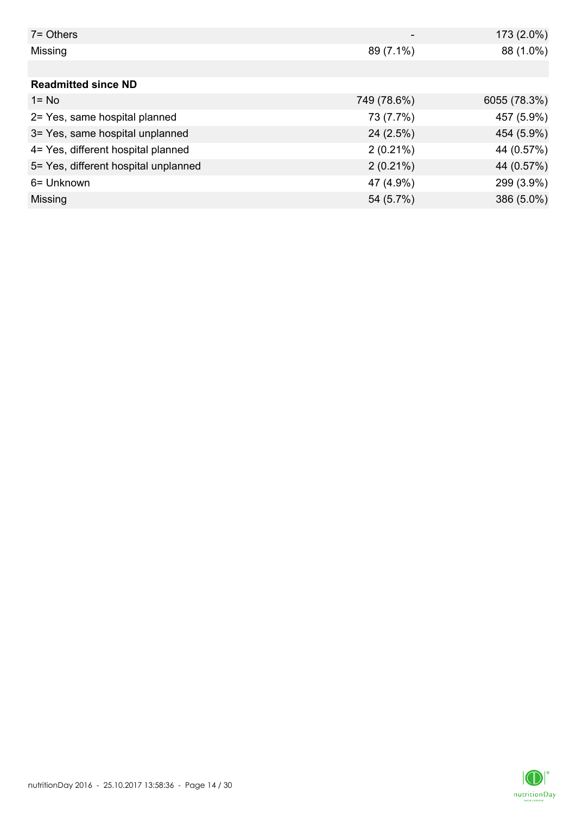| $7 =$ Others                         |             | 173 (2.0%)   |
|--------------------------------------|-------------|--------------|
| Missing                              | 89 (7.1%)   | 88 (1.0%)    |
|                                      |             |              |
| <b>Readmitted since ND</b>           |             |              |
| $1 = No$                             | 749 (78.6%) | 6055 (78.3%) |
| 2= Yes, same hospital planned        | 73 (7.7%)   | 457 (5.9%)   |
| 3= Yes, same hospital unplanned      | 24(2.5%)    | 454 (5.9%)   |
| 4= Yes, different hospital planned   | $2(0.21\%)$ | 44 (0.57%)   |
| 5= Yes, different hospital unplanned | $2(0.21\%)$ | 44 (0.57%)   |
| 6= Unknown                           | 47 (4.9%)   | 299 (3.9%)   |
| Missing                              | 54 (5.7%)   | 386 (5.0%)   |

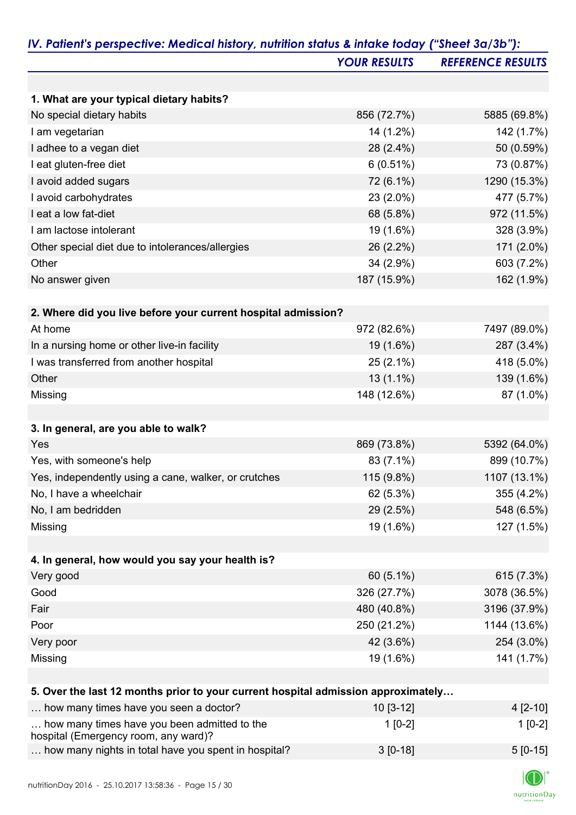| <b>YOUR RESULTS</b><br>1. What are your typical dietary habits?<br>No special dietary habits<br>856 (72.7%)<br>I am vegetarian<br>14 (1.2%)<br>I adhee to a vegan diet<br>28 (2.4%)<br>6(0.51%)<br>I eat gluten-free diet<br>72 (6.1%)<br>I avoid added sugars<br>I avoid carbohydrates<br>23 (2.0%)<br>I eat a low fat-diet<br>68 (5.8%)<br>I am lactose intolerant<br>19 (1.6%)<br>Other special diet due to intolerances/allergies<br>26 (2.2%)<br>34 (2.9%)<br>Other<br>187 (15.9%)<br>No answer given<br>2. Where did you live before your current hospital admission?<br>At home<br>972 (82.6%)<br>In a nursing home or other live-in facility<br>19 (1.6%)<br>I was transferred from another hospital<br>$25(2.1\%)$<br>$13(1.1\%)$<br>Other<br>148 (12.6%)<br>Missing<br>3. In general, are you able to walk?<br>Yes<br>869 (73.8%)<br>Yes, with someone's help<br>83 (7.1%)<br>Yes, independently using a cane, walker, or crutches<br>115 (9.8%)<br>No, I have a wheelchair<br>62 (5.3%)<br>No, I am bedridden<br>29 (2.5%)<br>19 (1.6%)<br>Missing | <b>REFERENCE RESULTS</b><br>5885 (69.8%)<br>142 (1.7%)<br>50 (0.59%)<br>73 (0.87%)<br>1290 (15.3%)<br>477 (5.7%)<br>972 (11.5%)<br>328 (3.9%)<br>171 (2.0%)<br>603 (7.2%)<br>162 (1.9%)<br>7497 (89.0%) |
|---------------------------------------------------------------------------------------------------------------------------------------------------------------------------------------------------------------------------------------------------------------------------------------------------------------------------------------------------------------------------------------------------------------------------------------------------------------------------------------------------------------------------------------------------------------------------------------------------------------------------------------------------------------------------------------------------------------------------------------------------------------------------------------------------------------------------------------------------------------------------------------------------------------------------------------------------------------------------------------------------------------------------------------------------------------|---------------------------------------------------------------------------------------------------------------------------------------------------------------------------------------------------------|
|                                                                                                                                                                                                                                                                                                                                                                                                                                                                                                                                                                                                                                                                                                                                                                                                                                                                                                                                                                                                                                                               |                                                                                                                                                                                                         |
|                                                                                                                                                                                                                                                                                                                                                                                                                                                                                                                                                                                                                                                                                                                                                                                                                                                                                                                                                                                                                                                               |                                                                                                                                                                                                         |
|                                                                                                                                                                                                                                                                                                                                                                                                                                                                                                                                                                                                                                                                                                                                                                                                                                                                                                                                                                                                                                                               |                                                                                                                                                                                                         |
|                                                                                                                                                                                                                                                                                                                                                                                                                                                                                                                                                                                                                                                                                                                                                                                                                                                                                                                                                                                                                                                               |                                                                                                                                                                                                         |
|                                                                                                                                                                                                                                                                                                                                                                                                                                                                                                                                                                                                                                                                                                                                                                                                                                                                                                                                                                                                                                                               |                                                                                                                                                                                                         |
|                                                                                                                                                                                                                                                                                                                                                                                                                                                                                                                                                                                                                                                                                                                                                                                                                                                                                                                                                                                                                                                               |                                                                                                                                                                                                         |
|                                                                                                                                                                                                                                                                                                                                                                                                                                                                                                                                                                                                                                                                                                                                                                                                                                                                                                                                                                                                                                                               |                                                                                                                                                                                                         |
|                                                                                                                                                                                                                                                                                                                                                                                                                                                                                                                                                                                                                                                                                                                                                                                                                                                                                                                                                                                                                                                               |                                                                                                                                                                                                         |
|                                                                                                                                                                                                                                                                                                                                                                                                                                                                                                                                                                                                                                                                                                                                                                                                                                                                                                                                                                                                                                                               |                                                                                                                                                                                                         |
|                                                                                                                                                                                                                                                                                                                                                                                                                                                                                                                                                                                                                                                                                                                                                                                                                                                                                                                                                                                                                                                               |                                                                                                                                                                                                         |
|                                                                                                                                                                                                                                                                                                                                                                                                                                                                                                                                                                                                                                                                                                                                                                                                                                                                                                                                                                                                                                                               |                                                                                                                                                                                                         |
|                                                                                                                                                                                                                                                                                                                                                                                                                                                                                                                                                                                                                                                                                                                                                                                                                                                                                                                                                                                                                                                               |                                                                                                                                                                                                         |
|                                                                                                                                                                                                                                                                                                                                                                                                                                                                                                                                                                                                                                                                                                                                                                                                                                                                                                                                                                                                                                                               |                                                                                                                                                                                                         |
|                                                                                                                                                                                                                                                                                                                                                                                                                                                                                                                                                                                                                                                                                                                                                                                                                                                                                                                                                                                                                                                               |                                                                                                                                                                                                         |
|                                                                                                                                                                                                                                                                                                                                                                                                                                                                                                                                                                                                                                                                                                                                                                                                                                                                                                                                                                                                                                                               |                                                                                                                                                                                                         |
|                                                                                                                                                                                                                                                                                                                                                                                                                                                                                                                                                                                                                                                                                                                                                                                                                                                                                                                                                                                                                                                               |                                                                                                                                                                                                         |
|                                                                                                                                                                                                                                                                                                                                                                                                                                                                                                                                                                                                                                                                                                                                                                                                                                                                                                                                                                                                                                                               | 287 (3.4%)                                                                                                                                                                                              |
|                                                                                                                                                                                                                                                                                                                                                                                                                                                                                                                                                                                                                                                                                                                                                                                                                                                                                                                                                                                                                                                               | 418 (5.0%)                                                                                                                                                                                              |
|                                                                                                                                                                                                                                                                                                                                                                                                                                                                                                                                                                                                                                                                                                                                                                                                                                                                                                                                                                                                                                                               |                                                                                                                                                                                                         |
|                                                                                                                                                                                                                                                                                                                                                                                                                                                                                                                                                                                                                                                                                                                                                                                                                                                                                                                                                                                                                                                               | 139 (1.6%)<br>87 (1.0%)                                                                                                                                                                                 |
|                                                                                                                                                                                                                                                                                                                                                                                                                                                                                                                                                                                                                                                                                                                                                                                                                                                                                                                                                                                                                                                               |                                                                                                                                                                                                         |
|                                                                                                                                                                                                                                                                                                                                                                                                                                                                                                                                                                                                                                                                                                                                                                                                                                                                                                                                                                                                                                                               |                                                                                                                                                                                                         |
|                                                                                                                                                                                                                                                                                                                                                                                                                                                                                                                                                                                                                                                                                                                                                                                                                                                                                                                                                                                                                                                               | 5392 (64.0%)                                                                                                                                                                                            |
|                                                                                                                                                                                                                                                                                                                                                                                                                                                                                                                                                                                                                                                                                                                                                                                                                                                                                                                                                                                                                                                               | 899 (10.7%)                                                                                                                                                                                             |
|                                                                                                                                                                                                                                                                                                                                                                                                                                                                                                                                                                                                                                                                                                                                                                                                                                                                                                                                                                                                                                                               | 1107 (13.1%)                                                                                                                                                                                            |
|                                                                                                                                                                                                                                                                                                                                                                                                                                                                                                                                                                                                                                                                                                                                                                                                                                                                                                                                                                                                                                                               | 355 (4.2%)                                                                                                                                                                                              |
|                                                                                                                                                                                                                                                                                                                                                                                                                                                                                                                                                                                                                                                                                                                                                                                                                                                                                                                                                                                                                                                               | 548 (6.5%)                                                                                                                                                                                              |
|                                                                                                                                                                                                                                                                                                                                                                                                                                                                                                                                                                                                                                                                                                                                                                                                                                                                                                                                                                                                                                                               | 127 (1.5%)                                                                                                                                                                                              |
|                                                                                                                                                                                                                                                                                                                                                                                                                                                                                                                                                                                                                                                                                                                                                                                                                                                                                                                                                                                                                                                               |                                                                                                                                                                                                         |
| 4. In general, how would you say your health is?                                                                                                                                                                                                                                                                                                                                                                                                                                                                                                                                                                                                                                                                                                                                                                                                                                                                                                                                                                                                              |                                                                                                                                                                                                         |
| Very good<br>60 (5.1%)                                                                                                                                                                                                                                                                                                                                                                                                                                                                                                                                                                                                                                                                                                                                                                                                                                                                                                                                                                                                                                        | 615 (7.3%)                                                                                                                                                                                              |
| 326 (27.7%)<br>Good                                                                                                                                                                                                                                                                                                                                                                                                                                                                                                                                                                                                                                                                                                                                                                                                                                                                                                                                                                                                                                           | 3078 (36.5%)                                                                                                                                                                                            |
| 480 (40.8%)<br>Fair                                                                                                                                                                                                                                                                                                                                                                                                                                                                                                                                                                                                                                                                                                                                                                                                                                                                                                                                                                                                                                           | 3196 (37.9%)                                                                                                                                                                                            |
| 250 (21.2%)<br>Poor                                                                                                                                                                                                                                                                                                                                                                                                                                                                                                                                                                                                                                                                                                                                                                                                                                                                                                                                                                                                                                           | 1144 (13.6%)                                                                                                                                                                                            |
| Very poor<br>42 (3.6%)                                                                                                                                                                                                                                                                                                                                                                                                                                                                                                                                                                                                                                                                                                                                                                                                                                                                                                                                                                                                                                        | 254 (3.0%)                                                                                                                                                                                              |
| Missing<br>19 (1.6%)                                                                                                                                                                                                                                                                                                                                                                                                                                                                                                                                                                                                                                                                                                                                                                                                                                                                                                                                                                                                                                          | 141 (1.7%)                                                                                                                                                                                              |
| 5. Over the last 12 months prior to your current hospital admission approximately                                                                                                                                                                                                                                                                                                                                                                                                                                                                                                                                                                                                                                                                                                                                                                                                                                                                                                                                                                             |                                                                                                                                                                                                         |
| how many times have you seen a doctor?<br>$10[3-12]$                                                                                                                                                                                                                                                                                                                                                                                                                                                                                                                                                                                                                                                                                                                                                                                                                                                                                                                                                                                                          | $4[2-10]$                                                                                                                                                                                               |
| how many times have you been admitted to the<br>$1[0-2]$                                                                                                                                                                                                                                                                                                                                                                                                                                                                                                                                                                                                                                                                                                                                                                                                                                                                                                                                                                                                      |                                                                                                                                                                                                         |

| 100                                                  |            |            |
|------------------------------------------------------|------------|------------|
| how many nights in total have you spent in hospital? | $3$ [0-18] | $5 [0-15]$ |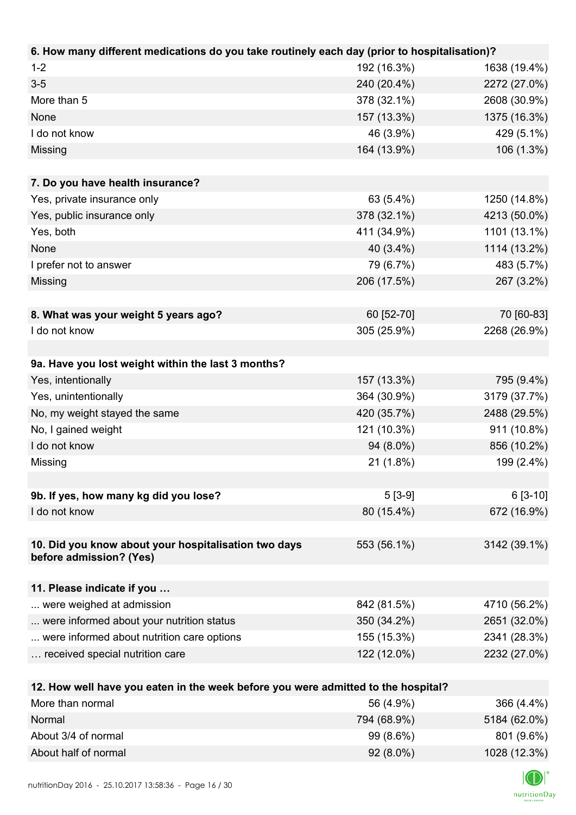| 6. How many different medications do you take routinely each day (prior to hospitalisation)? |             |              |
|----------------------------------------------------------------------------------------------|-------------|--------------|
| $1 - 2$                                                                                      | 192 (16.3%) | 1638 (19.4%) |
| $3-5$                                                                                        | 240 (20.4%) | 2272 (27.0%) |
| More than 5                                                                                  | 378 (32.1%) | 2608 (30.9%) |
| None                                                                                         | 157 (13.3%) | 1375 (16.3%) |
| I do not know                                                                                | 46 (3.9%)   | 429 (5.1%)   |
| Missing                                                                                      | 164 (13.9%) | 106 (1.3%)   |
|                                                                                              |             |              |
| 7. Do you have health insurance?                                                             |             |              |
| Yes, private insurance only                                                                  | 63 (5.4%)   | 1250 (14.8%) |
| Yes, public insurance only                                                                   | 378 (32.1%) | 4213 (50.0%) |
| Yes, both                                                                                    | 411 (34.9%) | 1101 (13.1%) |
| None                                                                                         | 40 (3.4%)   | 1114 (13.2%) |
| I prefer not to answer                                                                       | 79 (6.7%)   | 483 (5.7%)   |
| Missing                                                                                      | 206 (17.5%) | 267 (3.2%)   |
|                                                                                              |             |              |
| 8. What was your weight 5 years ago?                                                         | 60 [52-70]  | 70 [60-83]   |
| I do not know                                                                                | 305 (25.9%) | 2268 (26.9%) |
|                                                                                              |             |              |
| 9a. Have you lost weight within the last 3 months?                                           |             |              |
| Yes, intentionally                                                                           | 157 (13.3%) | 795 (9.4%)   |
| Yes, unintentionally                                                                         | 364 (30.9%) | 3179 (37.7%) |
| No, my weight stayed the same                                                                | 420 (35.7%) | 2488 (29.5%) |
| No, I gained weight                                                                          | 121 (10.3%) | 911 (10.8%)  |
| I do not know                                                                                | 94 (8.0%)   | 856 (10.2%)  |
| Missing                                                                                      | 21 (1.8%)   | 199 (2.4%)   |
|                                                                                              |             |              |
| 9b. If yes, how many kg did you lose?                                                        | $5[3-9]$    | $6[3-10]$    |
| I do not know                                                                                | 80 (15.4%)  | 672 (16.9%)  |
|                                                                                              |             |              |
| 10. Did you know about your hospitalisation two days                                         | 553 (56.1%) | 3142 (39.1%) |
| before admission? (Yes)                                                                      |             |              |
|                                                                                              |             |              |
| 11. Please indicate if you                                                                   |             |              |
| were weighed at admission                                                                    | 842 (81.5%) | 4710 (56.2%) |
| were informed about your nutrition status                                                    | 350 (34.2%) | 2651 (32.0%) |
| were informed about nutrition care options                                                   | 155 (15.3%) | 2341 (28.3%) |
| received special nutrition care                                                              | 122 (12.0%) | 2232 (27.0%) |
|                                                                                              |             |              |
| 12. How well have you eaten in the week before you were admitted to the hospital?            |             |              |
| More than normal                                                                             | 56 (4.9%)   | 366 (4.4%)   |

|                      | <b>JU 14.9701</b> | $000$ (4.470) |
|----------------------|-------------------|---------------|
| Normal               | 794 (68.9%)       | 5184 (62.0%)  |
| About 3/4 of normal  | $99(8.6\%)$       | 801 (9.6%)    |
| About half of normal | $92(8.0\%)$       | 1028 (12.3%)  |

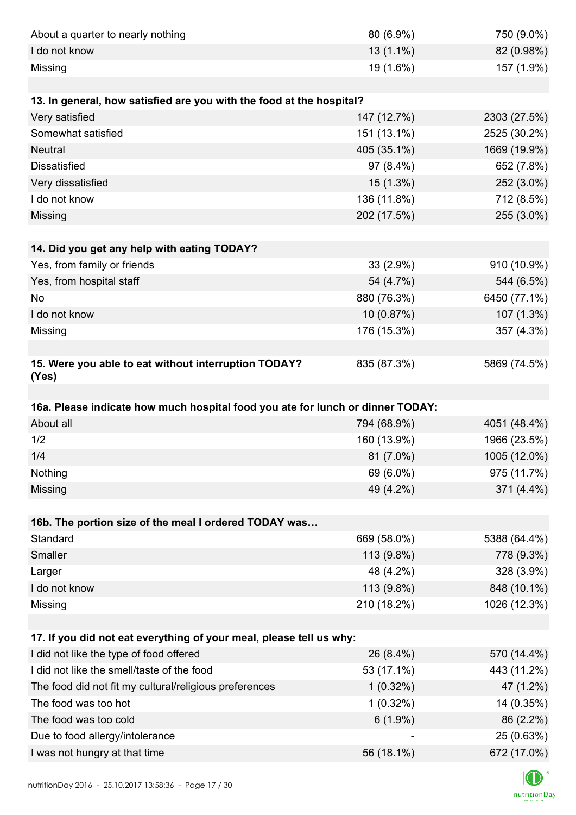|                                                                                | 80 (6.9%)   | 750 (9.0%)                |
|--------------------------------------------------------------------------------|-------------|---------------------------|
| I do not know                                                                  | $13(1.1\%)$ | 82 (0.98%)                |
| Missing                                                                        | 19 (1.6%)   | 157 (1.9%)                |
|                                                                                |             |                           |
| 13. In general, how satisfied are you with the food at the hospital?           |             |                           |
| Very satisfied                                                                 | 147 (12.7%) | 2303 (27.5%)              |
| Somewhat satisfied                                                             | 151 (13.1%) | 2525 (30.2%)              |
| <b>Neutral</b>                                                                 | 405 (35.1%) | 1669 (19.9%)              |
| <b>Dissatisfied</b>                                                            | 97 (8.4%)   | 652 (7.8%)                |
| Very dissatisfied                                                              | 15 (1.3%)   | 252 (3.0%)                |
| I do not know                                                                  | 136 (11.8%) | 712 (8.5%)                |
| Missing                                                                        | 202 (17.5%) | 255 (3.0%)                |
|                                                                                |             |                           |
| 14. Did you get any help with eating TODAY?                                    |             |                           |
| Yes, from family or friends                                                    | 33 (2.9%)   | 910 (10.9%)               |
| Yes, from hospital staff                                                       | 54 (4.7%)   | 544 (6.5%)                |
| No                                                                             | 880 (76.3%) | 6450 (77.1%)              |
| I do not know                                                                  | 10 (0.87%)  | 107 (1.3%)                |
| Missing                                                                        | 176 (15.3%) | 357 (4.3%)                |
|                                                                                |             |                           |
| 15. Were you able to eat without interruption TODAY?<br>(Yes)                  | 835 (87.3%) | 5869 (74.5%)              |
|                                                                                |             |                           |
| 16a. Please indicate how much hospital food you ate for lunch or dinner TODAY: |             |                           |
| About all                                                                      | 794 (68.9%) | 4051 (48.4%)              |
| 1/2                                                                            | 160 (13.9%) | 1966 (23.5%)              |
| 1/4                                                                            | 81 (7.0%)   | 1005 (12.0%)              |
|                                                                                |             |                           |
| Nothing                                                                        | 69 (6.0%)   | 975 (11.7%)               |
| Missing                                                                        | 49 (4.2%)   | 371 (4.4%)                |
|                                                                                |             |                           |
| 16b. The portion size of the meal I ordered TODAY was                          |             |                           |
| Standard                                                                       | 669 (58.0%) | 5388 (64.4%)              |
| Smaller                                                                        | 113 (9.8%)  | 778 (9.3%)                |
| Larger                                                                         | 48 (4.2%)   | 328 (3.9%)                |
| I do not know                                                                  | 113 (9.8%)  | 848 (10.1%)               |
| Missing                                                                        | 210 (18.2%) | 1026 (12.3%)              |
|                                                                                |             |                           |
| 17. If you did not eat everything of your meal, please tell us why:            |             |                           |
| I did not like the type of food offered                                        | 26 (8.4%)   | 570 (14.4%)               |
| I did not like the smell/taste of the food                                     | 53 (17.1%)  | 443 (11.2%)               |
| The food did not fit my cultural/religious preferences                         | $1(0.32\%)$ | 47 (1.2%)                 |
| The food was too hot                                                           | $1(0.32\%)$ | 14 (0.35%)                |
| The food was too cold                                                          | $6(1.9\%)$  | 86 (2.2%)                 |
| Due to food allergy/intolerance<br>I was not hungry at that time               | 56 (18.1%)  | 25 (0.63%)<br>672 (17.0%) |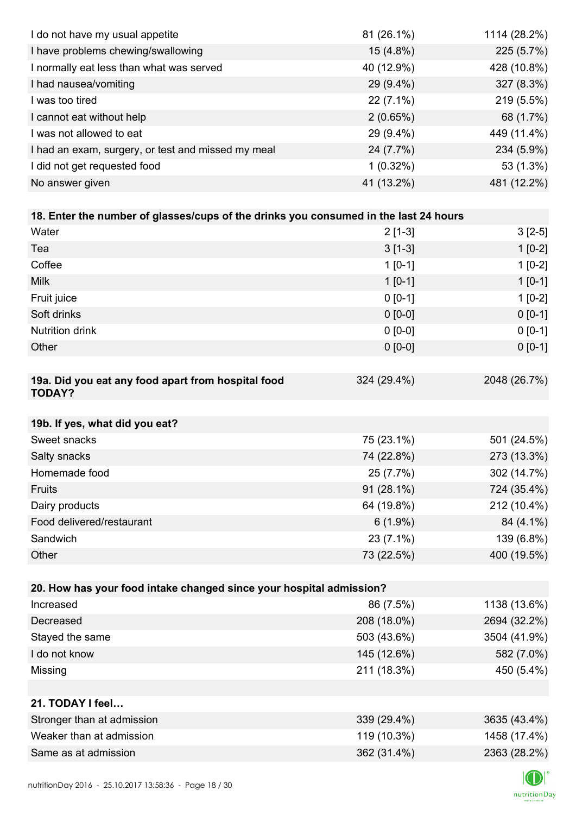| I do not have my usual appetite                                                      | 81 (26.1%)  | 1114 (28.2%) |
|--------------------------------------------------------------------------------------|-------------|--------------|
| I have problems chewing/swallowing                                                   | 15 (4.8%)   | 225 (5.7%)   |
| I normally eat less than what was served                                             | 40 (12.9%)  | 428 (10.8%)  |
| I had nausea/vomiting                                                                | 29 (9.4%)   | 327 (8.3%)   |
| I was too tired                                                                      | $22(7.1\%)$ | 219 (5.5%)   |
| I cannot eat without help                                                            | 2(0.65%)    | 68 (1.7%)    |
| I was not allowed to eat                                                             | 29 (9.4%)   | 449 (11.4%)  |
| I had an exam, surgery, or test and missed my meal                                   | 24 (7.7%)   | 234 (5.9%)   |
| I did not get requested food                                                         | $1(0.32\%)$ | 53 (1.3%)    |
| No answer given                                                                      | 41 (13.2%)  | 481 (12.2%)  |
|                                                                                      |             |              |
| 18. Enter the number of glasses/cups of the drinks you consumed in the last 24 hours |             |              |
| Water                                                                                | $2[1-3]$    | $3[2-5]$     |
| Tea                                                                                  | $3[1-3]$    | $1[0-2]$     |
| Coffee                                                                               | $1 [0-1]$   | $1[0-2]$     |
| <b>Milk</b>                                                                          | $1 [0-1]$   | $1[0-1]$     |
| Fruit juice                                                                          | $0 [0-1]$   | $1[0-2]$     |
| Soft drinks                                                                          | $0 [0-0]$   | $0[0-1]$     |
| <b>Nutrition drink</b>                                                               | $0 [0-0]$   | $0 [0-1]$    |
| Other                                                                                | $0 [0-0]$   | $0 [0-1]$    |
|                                                                                      |             |              |
| 19a. Did you eat any food apart from hospital food<br><b>TODAY?</b>                  | 324 (29.4%) | 2048 (26.7%) |
| 19b. If yes, what did you eat?                                                       |             |              |
| Sweet snacks                                                                         | 75 (23.1%)  | 501 (24.5%)  |
| Salty snacks                                                                         | 74 (22.8%)  | 273 (13.3%)  |
| Homemade food                                                                        | 25 (7.7%)   | 302 (14.7%)  |
| Fruits                                                                               | 91 (28.1%)  | 724 (35.4%)  |
| Dairy products                                                                       | 64 (19.8%)  | 212 (10.4%)  |
| Food delivered/restaurant                                                            | $6(1.9\%)$  | 84 (4.1%)    |
| Sandwich                                                                             | 23 (7.1%)   | 139 (6.8%)   |
| Other                                                                                | 73 (22.5%)  | 400 (19.5%)  |
|                                                                                      |             |              |
| 20. How has your food intake changed since your hospital admission?                  |             |              |
| Increased                                                                            | 86 (7.5%)   | 1138 (13.6%) |
| Decreased                                                                            | 208 (18.0%) | 2694 (32.2%) |
| Stayed the same                                                                      | 503 (43.6%) | 3504 (41.9%) |
| I do not know                                                                        | 145 (12.6%) | 582 (7.0%)   |
| Missing                                                                              | 211 (18.3%) | 450 (5.4%)   |
|                                                                                      |             |              |
| 21. TODAY I feel                                                                     |             |              |
| Stronger than at admission                                                           | 339 (29.4%) | 3635 (43.4%) |
| Weaker than at admission                                                             | 119 (10.3%) | 1458 (17.4%) |
| Same as at admission                                                                 | 362 (31.4%) | 2363 (28.2%) |
|                                                                                      |             |              |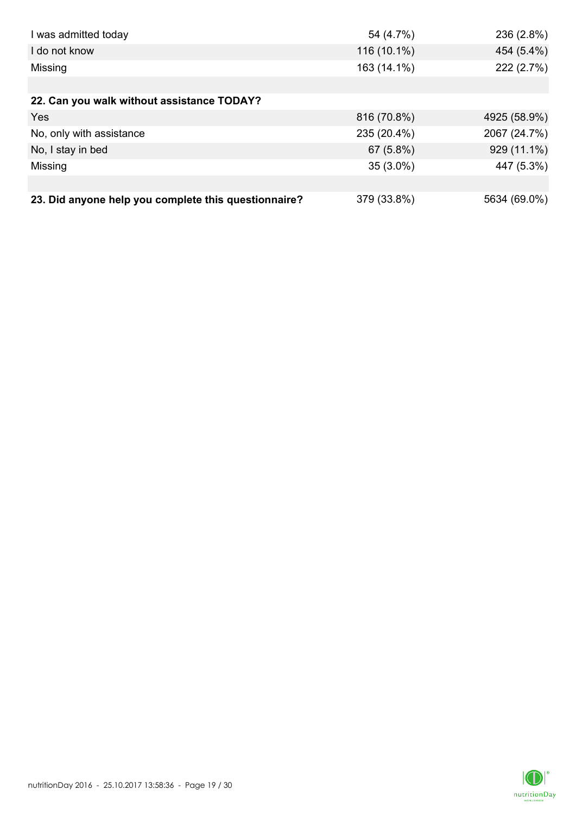| I was admitted today                                 | 54 (4.7%)   | 236 (2.8%)   |
|------------------------------------------------------|-------------|--------------|
| I do not know                                        | 116 (10.1%) | 454 (5.4%)   |
| Missing                                              | 163 (14.1%) | 222 (2.7%)   |
|                                                      |             |              |
| 22. Can you walk without assistance TODAY?           |             |              |
| <b>Yes</b>                                           | 816 (70.8%) | 4925 (58.9%) |
| No, only with assistance                             | 235 (20.4%) | 2067 (24.7%) |
| No, I stay in bed                                    | 67 (5.8%)   | 929 (11.1%)  |
| Missing                                              | $35(3.0\%)$ | 447 (5.3%)   |
|                                                      |             |              |
| 23. Did anyone help you complete this questionnaire? | 379 (33.8%) | 5634 (69.0%) |

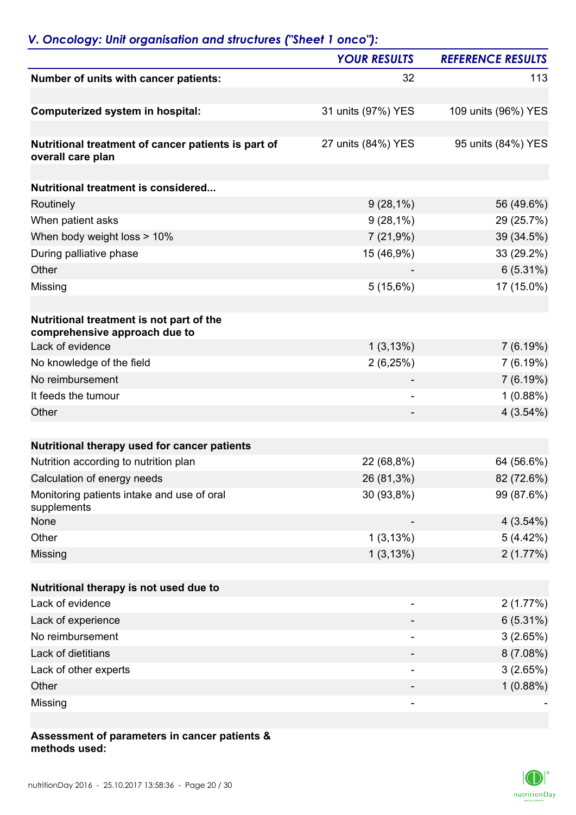## *V. Oncology: Unit organisation and structures ("Sheet 1 onco"):*

|                                                                           | <b>YOUR RESULTS</b>      | <b>REFERENCE RESULTS</b> |
|---------------------------------------------------------------------------|--------------------------|--------------------------|
| Number of units with cancer patients:                                     | 32                       | 113                      |
| <b>Computerized system in hospital:</b>                                   | 31 units (97%) YES       | 109 units (96%) YES      |
| Nutritional treatment of cancer patients is part of<br>overall care plan  | 27 units (84%) YES       | 95 units (84%) YES       |
| <b>Nutritional treatment is considered</b>                                |                          |                          |
| Routinely                                                                 | $9(28,1\%)$              | 56 (49.6%)               |
| When patient asks                                                         | $9(28,1\%)$              | 29 (25.7%)               |
| When body weight loss > 10%                                               | 7(21,9%)                 | 39 (34.5%)               |
| During palliative phase                                                   | 15 (46,9%)               | 33 (29.2%)               |
| Other                                                                     |                          | 6(5.31%)                 |
| Missing                                                                   | 5(15,6%)                 | 17 (15.0%)               |
|                                                                           |                          |                          |
| Nutritional treatment is not part of the<br>comprehensive approach due to |                          |                          |
| Lack of evidence                                                          | 1(3,13%)                 | 7(6.19%)                 |
| No knowledge of the field                                                 | 2(6,25%)                 | 7(6.19%)                 |
| No reimbursement                                                          |                          | 7(6.19%)                 |
| It feeds the tumour                                                       |                          | 1(0.88%)                 |
| Other                                                                     |                          | $4(3.54\%)$              |
| Nutritional therapy used for cancer patients                              |                          |                          |
| Nutrition according to nutrition plan                                     | 22 (68,8%)               | 64 (56.6%)               |
| Calculation of energy needs                                               | 26 (81,3%)               | 82 (72.6%)               |
| Monitoring patients intake and use of oral<br>supplements                 | 30 (93,8%)               | 99 (87.6%)               |
| None                                                                      |                          | 4(3.54%)                 |
| Other                                                                     | 1(3,13%)                 | 5(4.42%)                 |
| Missing                                                                   | 1(3,13%)                 | 2(1.77%)                 |
| Nutritional therapy is not used due to                                    |                          |                          |
| Lack of evidence                                                          |                          | 2(1.77%)                 |
| Lack of experience                                                        |                          | $6(5.31\%)$              |
| No reimbursement                                                          |                          | 3(2.65%)                 |
| Lack of dietitians                                                        |                          | 8(7.08%)                 |
| Lack of other experts                                                     | $\overline{\phantom{a}}$ | 3(2.65%)                 |
| Other                                                                     |                          | 1(0.88%)                 |
| Missing                                                                   |                          |                          |
|                                                                           |                          |                          |

#### **Assessment of parameters in cancer patients & methods used:**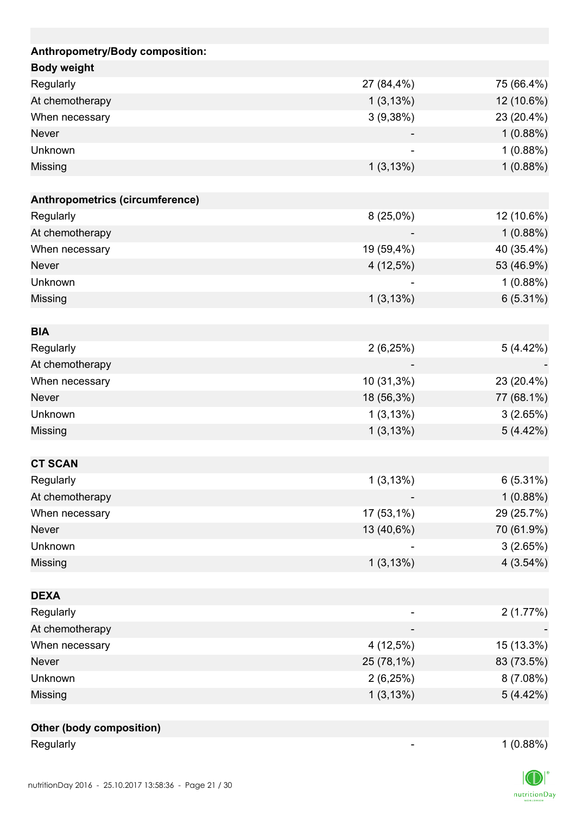| Anthropometry/Body composition: |              |            |
|---------------------------------|--------------|------------|
| <b>Body weight</b>              |              |            |
| Regularly                       | 27 (84,4%)   | 75 (66.4%) |
| At chemotherapy                 | $1(3, 13\%)$ | 12 (10.6%) |
| When necessary                  | 3(9,38%)     | 23 (20.4%) |
| <b>Never</b>                    |              | 1(0.88%)   |
| Unknown                         |              | 1(0.88%)   |
| Missing                         | 1(3,13%)     | 1(0.88%)   |
|                                 |              |            |
| Anthropometrics (circumference) |              |            |
| Regularly                       | $8(25,0\%)$  | 12 (10.6%) |
| At chemotherapy                 |              | 1(0.88%)   |
| When necessary                  | 19 (59,4%)   | 40 (35.4%) |
| <b>Never</b>                    | $4(12,5\%)$  | 53 (46.9%) |
| Unknown                         |              | 1(0.88%)   |
| Missing                         | 1(3,13%)     | 6(5.31%)   |
|                                 |              |            |
| <b>BIA</b>                      |              |            |
| Regularly                       | 2(6,25%)     | 5 (4.42%)  |
| At chemotherapy                 |              |            |
| When necessary                  | 10 (31,3%)   | 23 (20.4%) |
| <b>Never</b>                    | 18 (56,3%)   | 77 (68.1%) |
| Unknown                         | 1(3,13%)     | 3(2.65%)   |
| Missing                         | 1(3,13%)     | 5(4.42%)   |
|                                 |              |            |
| <b>CT SCAN</b>                  |              |            |
| Regularly                       | 1(3,13%)     | 6(5.31%)   |
| At chemotherapy                 |              | 1(0.88%)   |
| When necessary                  | 17 (53,1%)   | 29 (25.7%) |
| Never                           | 13 (40,6%)   | 70 (61.9%) |
| Unknown                         |              | 3(2.65%)   |
| Missing                         | 1(3,13%)     | 4(3.54%)   |
|                                 |              |            |
| <b>DEXA</b>                     |              |            |
| Regularly                       |              | 2(1.77%)   |
| At chemotherapy                 |              |            |
| When necessary                  | 4 (12,5%)    | 15 (13.3%) |
| Never                           | 25 (78,1%)   | 83 (73.5%) |
| Unknown                         | 2(6,25%)     | 8(7.08%)   |
| Missing                         | 1(3,13%)     | 5(4.42%)   |
|                                 |              |            |
| <b>Other (body composition)</b> |              |            |

| Regularly |  | $1(0.88\%)$ |
|-----------|--|-------------|
|-----------|--|-------------|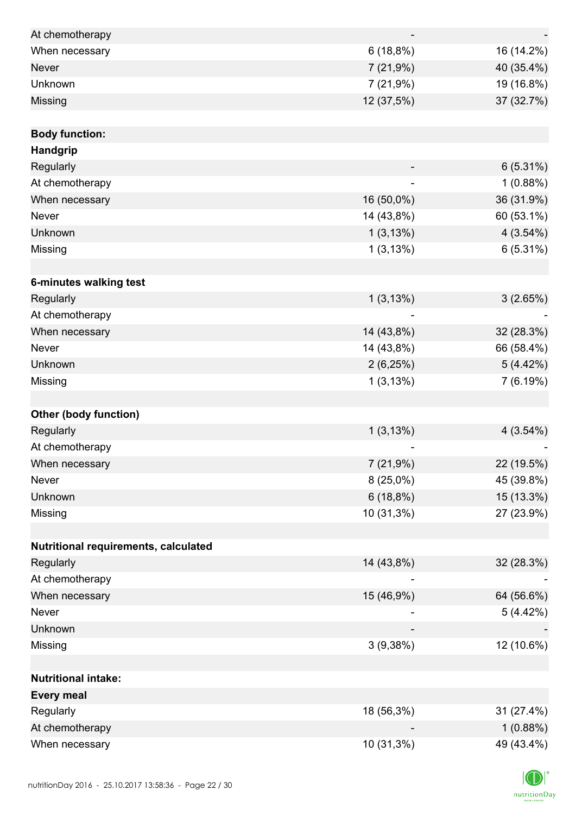| At chemotherapy                      |                          |             |
|--------------------------------------|--------------------------|-------------|
| When necessary                       | 6(18,8%)                 | 16 (14.2%)  |
| <b>Never</b>                         | 7(21,9%)                 | 40 (35.4%)  |
| Unknown                              | 7 (21,9%)                | 19 (16.8%)  |
| Missing                              | 12 (37,5%)               | 37 (32.7%)  |
|                                      |                          |             |
| <b>Body function:</b>                |                          |             |
| Handgrip                             |                          |             |
| Regularly                            |                          | $6(5.31\%)$ |
| At chemotherapy                      | $\overline{\phantom{0}}$ | 1(0.88%)    |
| When necessary                       | 16 (50,0%)               | 36 (31.9%)  |
| Never                                | 14 (43,8%)               | 60 (53.1%)  |
| Unknown                              | 1(3,13%)                 | $4(3.54\%)$ |
| Missing                              | 1(3,13%)                 | 6(5.31%)    |
|                                      |                          |             |
| 6-minutes walking test               |                          |             |
| Regularly                            | 1(3,13%)                 | 3(2.65%)    |
| At chemotherapy                      |                          |             |
| When necessary                       | 14 (43,8%)               | 32 (28.3%)  |
| Never                                | 14 (43,8%)               | 66 (58.4%)  |
| Unknown                              | 2(6,25%)                 | 5(4.42%)    |
| Missing                              | 1(3,13%)                 | 7(6.19%)    |
|                                      |                          |             |
| <b>Other (body function)</b>         |                          |             |
| Regularly                            | 1(3,13%)                 | 4(3.54%)    |
| At chemotherapy                      |                          |             |
| When necessary                       | 7(21,9%)                 | 22 (19.5%)  |
| Never                                | $8(25,0\%)$              | 45 (39.8%)  |
| Unknown                              | 6(18,8%)                 | 15 (13.3%)  |
| Missing                              | 10 (31,3%)               | 27 (23.9%)  |
|                                      |                          |             |
| Nutritional requirements, calculated |                          |             |
| Regularly                            | 14 (43,8%)               | 32 (28.3%)  |
| At chemotherapy                      |                          |             |
| When necessary                       | 15 (46,9%)               | 64 (56.6%)  |
| Never                                |                          | 5(4.42%)    |
| Unknown                              |                          |             |
| Missing                              | 3(9,38%)                 | 12 (10.6%)  |
|                                      |                          |             |
| <b>Nutritional intake:</b>           |                          |             |
| <b>Every meal</b>                    |                          |             |
| Regularly                            | 18 (56,3%)               | 31 (27.4%)  |
| At chemotherapy                      |                          | 1(0.88%)    |
| When necessary                       | 10 (31,3%)               | 49 (43.4%)  |

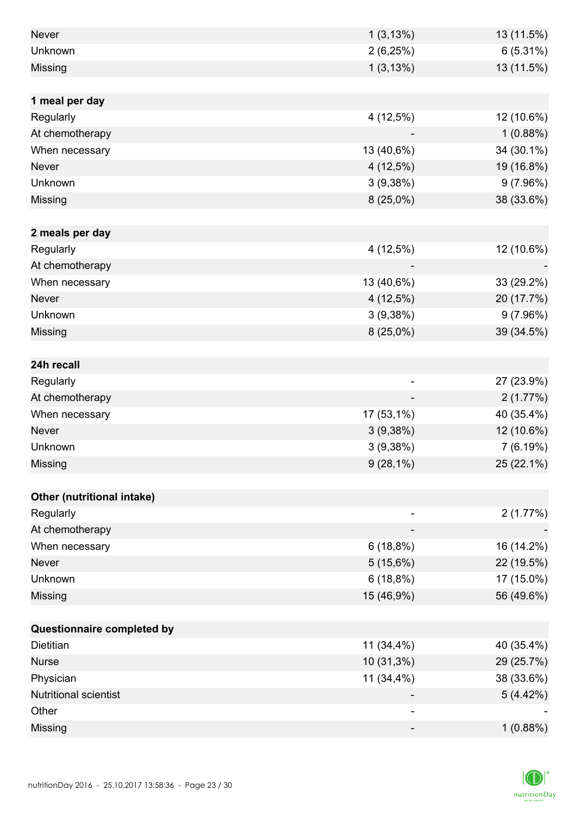| <b>Never</b>                 | 1(3,13%)                 | 13 (11.5%) |
|------------------------------|--------------------------|------------|
| Unknown                      | 2(6,25%)                 | 6(5.31%)   |
| Missing                      | 1(3,13%)                 | 13 (11.5%) |
|                              |                          |            |
| 1 meal per day               |                          |            |
| Regularly                    | 4 (12,5%)                | 12 (10.6%) |
| At chemotherapy              |                          | 1(0.88%)   |
| When necessary               | 13 (40,6%)               | 34 (30.1%) |
| <b>Never</b>                 | 4 (12,5%)                | 19 (16.8%) |
| Unknown                      | 3(9,38%)                 | 9(7.96%)   |
| Missing                      | $8(25,0\%)$              | 38 (33.6%) |
|                              |                          |            |
| 2 meals per day              |                          |            |
| Regularly                    | $4(12,5\%)$              | 12 (10.6%) |
| At chemotherapy              |                          |            |
| When necessary               | 13 (40,6%)               | 33 (29.2%) |
| <b>Never</b>                 | 4 (12,5%)                | 20 (17.7%) |
| Unknown                      | 3(9,38%)                 | 9(7.96%)   |
| Missing                      | $8(25,0\%)$              | 39 (34.5%) |
|                              |                          |            |
| 24h recall                   |                          |            |
| Regularly                    | $\overline{\phantom{0}}$ | 27 (23.9%) |
| At chemotherapy              |                          | 2(1.77%)   |
| When necessary               | 17 (53,1%)               | 40 (35.4%) |
| Never                        | 3(9,38%)                 | 12 (10.6%) |
| Unknown                      | 3(9,38%)                 | 7(6.19%)   |
| Missing                      | $9(28,1\%)$              | 25 (22.1%) |
|                              |                          |            |
| Other (nutritional intake)   |                          |            |
| Regularly                    |                          | 2(1.77%)   |
| At chemotherapy              |                          |            |
| When necessary               | 6(18,8%)                 | 16 (14.2%) |
| Never                        | 5(15,6%)                 | 22 (19.5%) |
| Unknown                      | 6(18,8%)                 | 17 (15.0%) |
| Missing                      | 15 (46,9%)               | 56 (49.6%) |
|                              |                          |            |
| Questionnaire completed by   |                          |            |
| Dietitian                    | 11 (34,4%)               | 40 (35.4%) |
| <b>Nurse</b>                 | 10 (31,3%)               | 29 (25.7%) |
| Physician                    | 11 (34,4%)               | 38 (33.6%) |
| <b>Nutritional scientist</b> |                          | 5(4.42%)   |
| Other                        | -                        |            |
| Missing                      | -                        | 1(0.88%)   |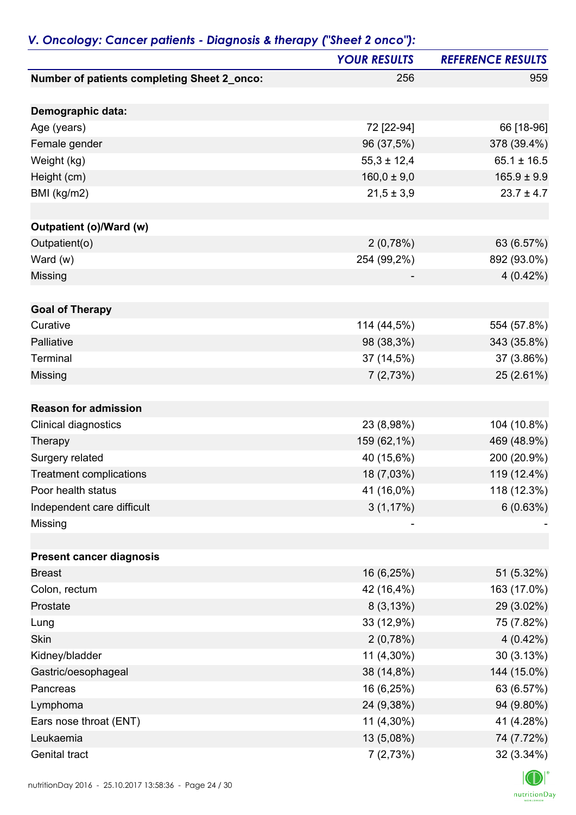|                                             | <b>YOUR RESULTS</b> | <b>REFERENCE RESULTS</b> |
|---------------------------------------------|---------------------|--------------------------|
| Number of patients completing Sheet 2_onco: | 256                 | 959                      |
| Demographic data:                           |                     |                          |
| Age (years)                                 | 72 [22-94]          | 66 [18-96]               |
| Female gender                               | 96 (37,5%)          | 378 (39.4%)              |
| Weight (kg)                                 | $55,3 \pm 12,4$     | $65.1 \pm 16.5$          |
| Height (cm)                                 | $160,0 \pm 9,0$     | $165.9 \pm 9.9$          |
| BMI (kg/m2)                                 | $21,5 \pm 3,9$      | $23.7 \pm 4.7$           |
| Outpatient (o)/Ward (w)                     |                     |                          |
| Outpatient(o)                               | 2(0,78%)            | 63 (6.57%)               |
| Ward (w)                                    | 254 (99,2%)         | 892 (93.0%)              |
| Missing                                     |                     | $4(0.42\%)$              |
| <b>Goal of Therapy</b>                      |                     |                          |
| Curative                                    | 114 (44,5%)         | 554 (57.8%)              |
| Palliative                                  | 98 (38,3%)          | 343 (35.8%)              |
| Terminal                                    | 37 (14,5%)          | 37 (3.86%)               |
| Missing                                     | 7(2,73%)            | 25 (2.61%)               |
| <b>Reason for admission</b>                 |                     |                          |
| Clinical diagnostics                        | 23 (8,98%)          | 104 (10.8%)              |
| Therapy                                     | 159 (62,1%)         | 469 (48.9%)              |
| Surgery related                             | 40 (15,6%)          | 200 (20.9%)              |
| <b>Treatment complications</b>              | 18 (7,03%)          | 119 (12.4%)              |
| Poor health status                          | 41 (16,0%)          | 118 (12.3%)              |
| Independent care difficult                  | 3(1,17%)            | 6(0.63%)                 |
| Missing                                     |                     |                          |
|                                             |                     |                          |
| <b>Present cancer diagnosis</b>             |                     |                          |
| <b>Breast</b>                               | 16 (6,25%)          | 51 (5.32%)               |
| Colon, rectum                               | 42 (16,4%)          | 163 (17.0%)              |
| Prostate                                    | 8(3,13%)            | 29 (3.02%)               |
| Lung                                        | 33 (12,9%)          | 75 (7.82%)               |
| <b>Skin</b>                                 | 2(0,78%)            | $4(0.42\%)$              |
| Kidney/bladder                              | 11 (4,30%)          | 30(3.13%)                |
| Gastric/oesophageal                         | 38 (14,8%)          | 144 (15.0%)              |
| Pancreas                                    | 16 (6,25%)          | 63 (6.57%)               |
| Lymphoma                                    | 24 (9,38%)          | 94 (9.80%)               |
| Ears nose throat (ENT)                      | 11 (4,30%)          | 41 (4.28%)               |
| Leukaemia                                   | 13 (5,08%)          | 74 (7.72%)               |
| Genital tract                               | 7(2,73%)            | 32 (3.34%)               |

### *V. Oncology: Cancer patients - Diagnosis & therapy ("Sheet 2 onco"):*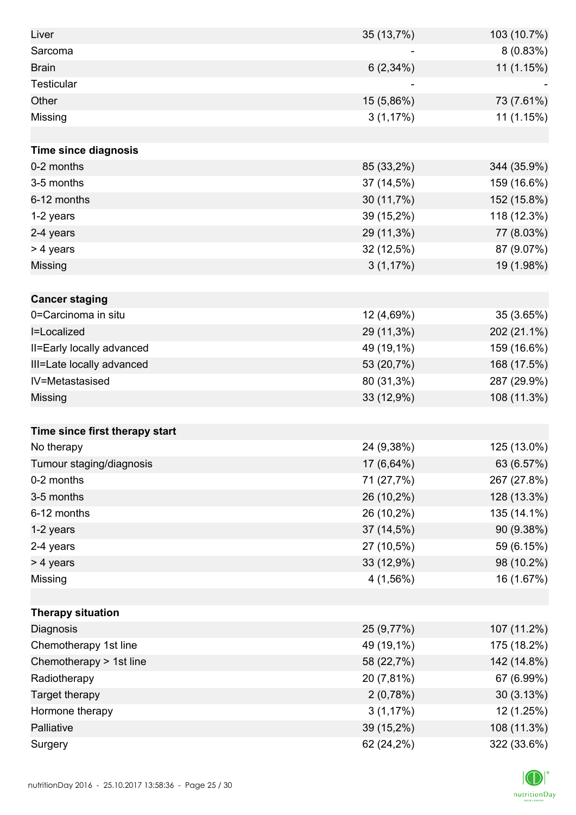| Liver                          | 35 (13,7%)  | 103 (10.7%) |
|--------------------------------|-------------|-------------|
| Sarcoma                        |             | 8(0.83%)    |
| <b>Brain</b>                   | $6(2,34\%)$ | 11 (1.15%)  |
| <b>Testicular</b>              |             |             |
| Other                          | 15 (5,86%)  | 73 (7.61%)  |
| Missing                        | 3(1,17%)    | 11 (1.15%)  |
|                                |             |             |
| Time since diagnosis           |             |             |
| 0-2 months                     | 85 (33,2%)  | 344 (35.9%) |
| 3-5 months                     | 37 (14,5%)  | 159 (16.6%) |
| 6-12 months                    | 30 (11,7%)  | 152 (15.8%) |
| 1-2 years                      | 39 (15,2%)  | 118 (12.3%) |
| 2-4 years                      | 29 (11,3%)  | 77 (8.03%)  |
| > 4 years                      | 32 (12,5%)  | 87 (9.07%)  |
| Missing                        | 3(1,17%)    | 19 (1.98%)  |
|                                |             |             |
| <b>Cancer staging</b>          |             |             |
| 0=Carcinoma in situ            | 12 (4,69%)  | 35 (3.65%)  |
| I=Localized                    | 29 (11,3%)  | 202 (21.1%) |
| II=Early locally advanced      | 49 (19,1%)  | 159 (16.6%) |
| III=Late locally advanced      | 53 (20,7%)  | 168 (17.5%) |
| IV=Metastasised                | 80 (31,3%)  | 287 (29.9%) |
| Missing                        | 33 (12,9%)  | 108 (11.3%) |
|                                |             |             |
| Time since first therapy start |             |             |
| No therapy                     | 24 (9,38%)  | 125 (13.0%) |
| Tumour staging/diagnosis       | 17 (6,64%)  | 63 (6.57%)  |
| 0-2 months                     | 71 (27,7%)  | 267 (27.8%) |
| 3-5 months                     | 26 (10,2%)  | 128 (13.3%) |
| 6-12 months                    | 26 (10,2%)  | 135 (14.1%) |
| 1-2 years                      | 37 (14,5%)  | 90 (9.38%)  |
| 2-4 years                      | 27 (10,5%)  | 59 (6.15%)  |
| > 4 years                      | 33 (12,9%)  | 98 (10.2%)  |
| Missing                        | 4(1,56%)    | 16 (1.67%)  |
|                                |             |             |
| <b>Therapy situation</b>       |             |             |
| Diagnosis                      | 25 (9,77%)  | 107 (11.2%) |
| Chemotherapy 1st line          | 49 (19,1%)  | 175 (18.2%) |
| Chemotherapy > 1st line        | 58 (22,7%)  | 142 (14.8%) |
| Radiotherapy                   | 20 (7,81%)  | 67 (6.99%)  |
| Target therapy                 | 2(0,78%)    | 30(3.13%)   |
| Hormone therapy                | 3(1,17%)    | 12 (1.25%)  |
| Palliative                     | 39 (15,2%)  | 108 (11.3%) |
| Surgery                        | 62 (24,2%)  | 322 (33.6%) |

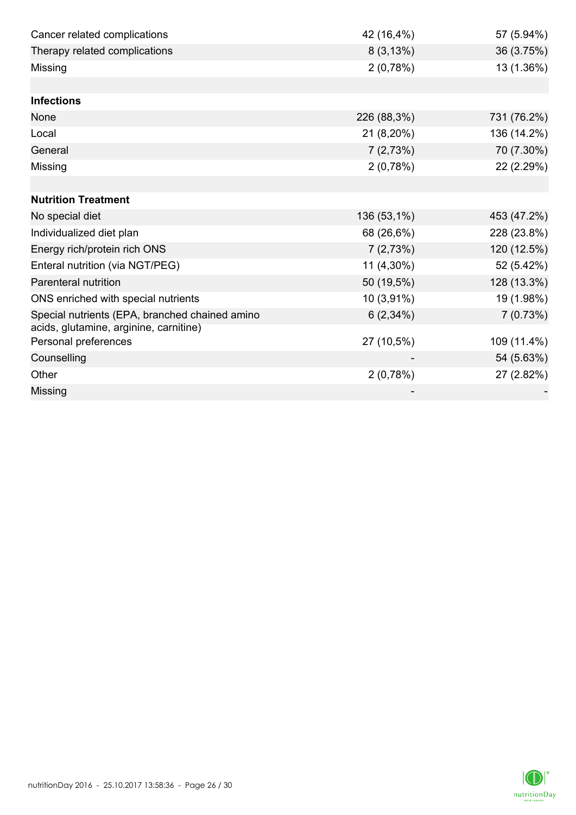| Cancer related complications                   | 42 (16,4%)  | 57 (5.94%)  |
|------------------------------------------------|-------------|-------------|
| Therapy related complications                  | 8(3,13%)    | 36 (3.75%)  |
| Missing                                        | 2(0,78%)    | 13 (1.36%)  |
|                                                |             |             |
| <b>Infections</b>                              |             |             |
| None                                           | 226 (88,3%) | 731 (76.2%) |
| Local                                          | 21 (8,20%)  | 136 (14.2%) |
| General                                        | 7(2,73%)    | 70 (7.30%)  |
| Missing                                        | 2(0,78%)    | 22 (2.29%)  |
|                                                |             |             |
| <b>Nutrition Treatment</b>                     |             |             |
| No special diet                                | 136 (53,1%) | 453 (47.2%) |
| Individualized diet plan                       | 68 (26,6%)  | 228 (23.8%) |
| Energy rich/protein rich ONS                   | 7(2,73%)    | 120 (12.5%) |
| Enteral nutrition (via NGT/PEG)                | 11 (4,30%)  | 52 (5.42%)  |
| <b>Parenteral nutrition</b>                    | 50 (19,5%)  | 128 (13.3%) |
| ONS enriched with special nutrients            | 10 (3,91%)  | 19 (1.98%)  |
| Special nutrients (EPA, branched chained amino | $6(2,34\%)$ | 7(0.73%)    |
| acids, glutamine, arginine, carnitine)         |             |             |
| Personal preferences                           | 27 (10,5%)  | 109 (11.4%) |
| Counselling                                    |             | 54 (5.63%)  |
| Other                                          | 2(0,78%)    | 27 (2.82%)  |
| Missing                                        |             |             |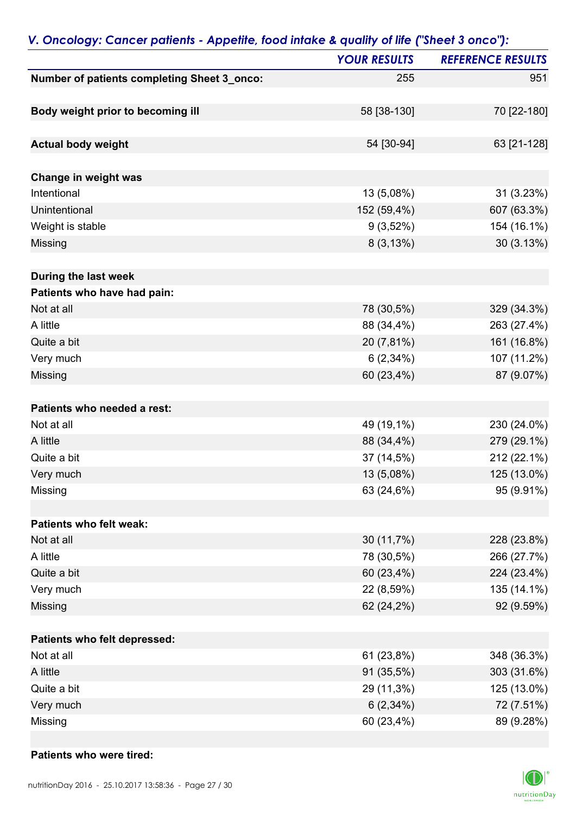|                                             | <b>YOUR RESULTS</b> | <b>REFERENCE RESULTS</b> |
|---------------------------------------------|---------------------|--------------------------|
| Number of patients completing Sheet 3_onco: | 255                 | 951                      |
|                                             |                     |                          |
| Body weight prior to becoming ill           | 58 [38-130]         | 70 [22-180]              |
| <b>Actual body weight</b>                   | 54 [30-94]          | 63 [21-128]              |
|                                             |                     |                          |
| Change in weight was                        |                     |                          |
| Intentional                                 | 13 (5,08%)          | 31 (3.23%)               |
| Unintentional                               | 152 (59,4%)         | 607 (63.3%)              |
| Weight is stable                            | $9(3,52\%)$         | 154 (16.1%)              |
| Missing                                     | 8(3,13%)            | 30(3.13%)                |
| During the last week                        |                     |                          |
| Patients who have had pain:                 |                     |                          |
| Not at all                                  | 78 (30,5%)          | 329 (34.3%)              |
| A little                                    | 88 (34,4%)          | 263 (27.4%)              |
| Quite a bit                                 | 20 (7,81%)          | 161 (16.8%)              |
| Very much                                   | 6(2,34%)            | 107 (11.2%)              |
| Missing                                     | 60 (23,4%)          | 87 (9.07%)               |
|                                             |                     |                          |
| Patients who needed a rest:                 |                     |                          |
| Not at all                                  | 49 (19,1%)          | 230 (24.0%)              |
| A little                                    | 88 (34,4%)          | 279 (29.1%)              |
| Quite a bit                                 | 37 (14,5%)          | 212 (22.1%)              |
| Very much                                   | 13 (5,08%)          | 125 (13.0%)              |
| Missing                                     | 63 (24,6%)          | 95 (9.91%)               |
|                                             |                     |                          |
| Patients who felt weak:                     |                     |                          |
| Not at all                                  | 30 (11,7%)          | 228 (23.8%)              |
| A little                                    | 78 (30,5%)          | 266 (27.7%)              |
| Quite a bit                                 | 60 (23,4%)          | 224 (23.4%)              |
| Very much                                   | 22 (8,59%)          | 135 (14.1%)              |
| Missing                                     | 62 (24,2%)          | 92 (9.59%)               |
| Patients who felt depressed:                |                     |                          |
| Not at all                                  | 61 (23,8%)          | 348 (36.3%)              |
| A little                                    | 91 (35,5%)          | 303 (31.6%)              |
| Quite a bit                                 | 29 (11,3%)          | 125 (13.0%)              |
| Very much                                   | $6(2,34\%)$         | 72 (7.51%)               |
| Missing                                     | 60 (23,4%)          | 89 (9.28%)               |

### *V. Oncology: Cancer patients - Appetite, food intake & quality of life ("Sheet 3 onco"):*

#### **Patients who were tired:**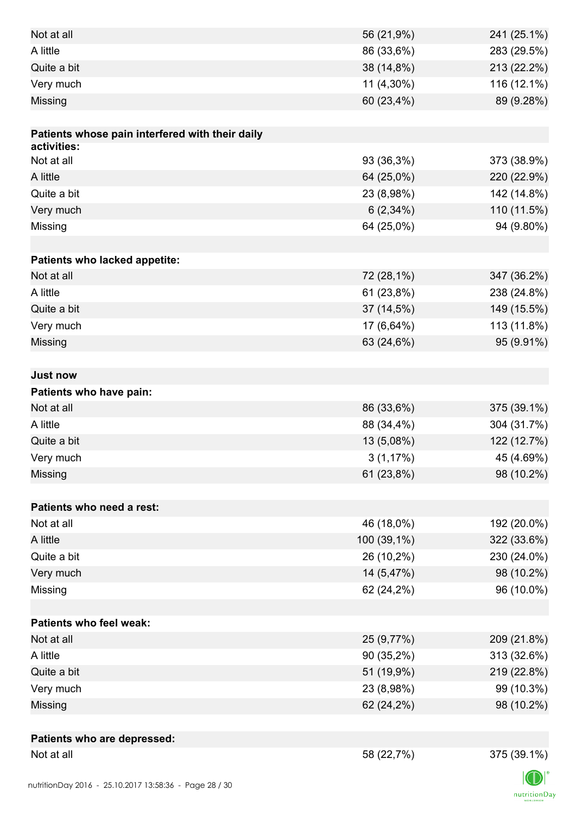| Not at all                                      | 56 (21,9%)  | 241 (25.1%) |
|-------------------------------------------------|-------------|-------------|
| A little                                        | 86 (33,6%)  | 283 (29.5%) |
| Quite a bit                                     | 38 (14,8%)  | 213 (22.2%) |
| Very much                                       | 11 (4,30%)  | 116 (12.1%) |
| Missing                                         | 60 (23,4%)  | 89 (9.28%)  |
|                                                 |             |             |
| Patients whose pain interfered with their daily |             |             |
| activities:                                     |             |             |
| Not at all                                      | 93 (36,3%)  | 373 (38.9%) |
| A little                                        | 64 (25,0%)  | 220 (22.9%) |
| Quite a bit                                     | 23 (8,98%)  | 142 (14.8%) |
| Very much                                       | $6(2,34\%)$ | 110 (11.5%) |
| Missing                                         | 64 (25,0%)  | 94 (9.80%)  |
|                                                 |             |             |
| Patients who lacked appetite:                   |             |             |
| Not at all                                      | 72 (28,1%)  | 347 (36.2%) |
| A little                                        | 61 (23,8%)  | 238 (24.8%) |
| Quite a bit                                     | 37 (14,5%)  | 149 (15.5%) |
| Very much                                       | 17 (6,64%)  | 113 (11.8%) |
| Missing                                         | 63 (24,6%)  | 95 (9.91%)  |
|                                                 |             |             |
| <b>Just now</b>                                 |             |             |
| Patients who have pain:                         |             |             |
| Not at all                                      | 86 (33,6%)  | 375 (39.1%) |
| A little                                        | 88 (34,4%)  | 304 (31.7%) |
| Quite a bit                                     | 13 (5,08%)  | 122 (12.7%) |
| Very much                                       | $3(1,17\%)$ | 45 (4.69%)  |
| Missing                                         | 61 (23,8%)  | 98 (10.2%)  |
|                                                 |             |             |
| Patients who need a rest:                       |             |             |
| Not at all                                      | 46 (18,0%)  | 192 (20.0%) |
| A little                                        | 100 (39,1%) | 322 (33.6%) |
| Quite a bit                                     | 26 (10,2%)  | 230 (24.0%) |
| Very much                                       | 14 (5,47%)  | 98 (10.2%)  |
| Missing                                         | 62 (24,2%)  | 96 (10.0%)  |
|                                                 |             |             |
| <b>Patients who feel weak:</b>                  |             |             |
| Not at all                                      | 25 (9,77%)  | 209 (21.8%) |
| A little                                        | 90 (35,2%)  | 313 (32.6%) |
| Quite a bit                                     | 51 (19,9%)  | 219 (22.8%) |
| Very much                                       | 23 (8,98%)  | 99 (10.3%)  |
| Missing                                         | 62 (24,2%)  | 98 (10.2%)  |
|                                                 |             |             |
| Patients who are depressed:                     |             |             |
| Not at all                                      | 58 (22,7%)  | 375 (39.1%) |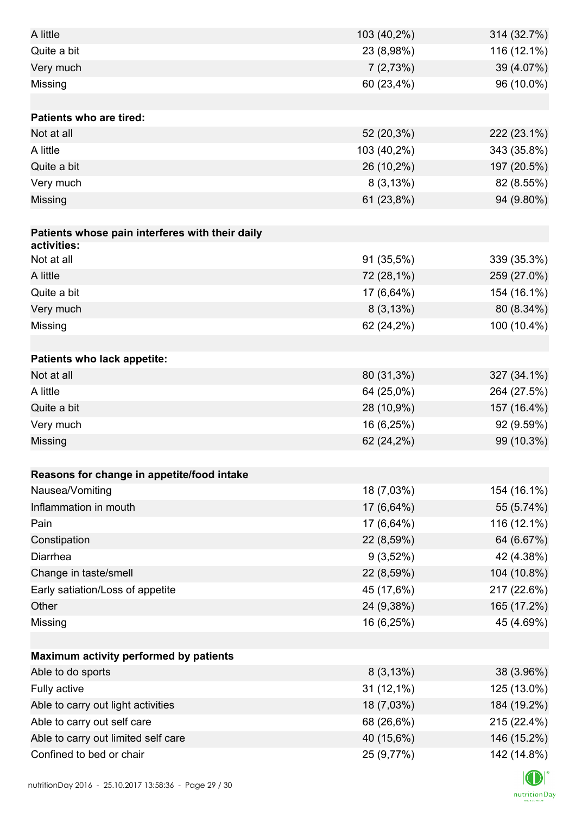| A little                                        | 103 (40,2%) | 314 (32.7%)               |
|-------------------------------------------------|-------------|---------------------------|
| Quite a bit                                     | 23 (8,98%)  | 116 (12.1%)               |
| Very much                                       | 7(2,73%)    | 39 (4.07%)                |
| Missing                                         | 60 (23,4%)  | 96 (10.0%)                |
|                                                 |             |                           |
| <b>Patients who are tired:</b>                  |             |                           |
| Not at all                                      | 52 (20,3%)  | 222 (23.1%)               |
| A little                                        | 103 (40,2%) | 343 (35.8%)               |
| Quite a bit                                     | 26 (10,2%)  | 197 (20.5%)               |
| Very much                                       | 8(3,13%)    | 82 (8.55%)                |
| Missing                                         | 61 (23,8%)  | 94 (9.80%)                |
|                                                 |             |                           |
| Patients whose pain interferes with their daily |             |                           |
| activities:                                     |             |                           |
| Not at all                                      | 91 (35,5%)  | 339 (35.3%)               |
| A little                                        | 72 (28,1%)  | 259 (27.0%)               |
| Quite a bit                                     | 17 (6,64%)  | 154 (16.1%)               |
| Very much                                       | 8(3,13%)    | 80 (8.34%)                |
| Missing                                         | 62 (24,2%)  | 100 (10.4%)               |
|                                                 |             |                           |
| Patients who lack appetite:                     |             |                           |
| Not at all                                      | 80 (31,3%)  | 327 (34.1%)               |
| A little                                        | 64 (25,0%)  | 264 (27.5%)               |
| Quite a bit                                     | 28 (10,9%)  | 157 (16.4%)               |
| Very much                                       | 16 (6,25%)  | 92 (9.59%)                |
| Missing                                         | 62 (24,2%)  | 99 (10.3%)                |
|                                                 |             |                           |
| Reasons for change in appetite/food intake      |             |                           |
| Nausea/Vomiting                                 | 18 (7,03%)  | 154 (16.1%)               |
| Inflammation in mouth<br>Pain                   | 17 (6,64%)  | 55 (5.74%)                |
|                                                 | 17 (6,64%)  | 116 (12.1%)               |
| Constipation                                    | 22 (8,59%)  | 64 (6.67%)                |
| Diarrhea                                        | $9(3,52\%)$ | 42 (4.38%)                |
| Change in taste/smell                           | 22 (8,59%)  | 104 (10.8%)               |
| Early satiation/Loss of appetite                | 45 (17,6%)  | 217 (22.6%)               |
| Other                                           | 24 (9,38%)  | 165 (17.2%)               |
| Missing                                         | 16 (6,25%)  | 45 (4.69%)                |
| Maximum activity performed by patients          |             |                           |
| Able to do sports                               | 8(3,13%)    |                           |
| Fully active                                    | 31 (12,1%)  | 38 (3.96%)<br>125 (13.0%) |
| Able to carry out light activities              | 18 (7,03%)  | 184 (19.2%)               |
| Able to carry out self care                     | 68 (26,6%)  |                           |
|                                                 |             | 215 (22.4%)               |
| Able to carry out limited self care             | 40 (15,6%)  | 146 (15.2%)               |
| Confined to bed or chair                        | 25 (9,77%)  | 142 (14.8%)               |